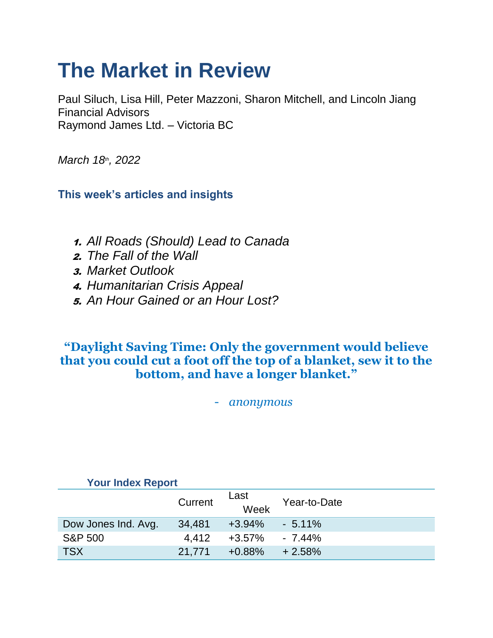# **The Market in Review**

Paul Siluch, Lisa Hill, Peter Mazzoni, Sharon Mitchell, and Lincoln Jiang Financial Advisors Raymond James Ltd. – Victoria BC

*March 18th, 2022*

**This week's articles and insights**

- 1. *All Roads (Should) Lead to Canada*
- 2. *The Fall of the Wall*
- 3. *Market Outlook*
- 4. *Humanitarian Crisis Appeal*
- 5. *An Hour Gained or an Hour Lost?*

### **"Daylight Saving Time: Only the government would believe that you could cut a foot off the top of a blanket, sew it to the bottom, and have a longer blanket."**

- *anonymous*

| <b>Your Index Report</b> |         |                     |              |  |
|--------------------------|---------|---------------------|--------------|--|
|                          | Current | Last<br>Week        | Year-to-Date |  |
| Dow Jones Ind. Avg.      | 34,481  | $+3.94\%$ $-5.11\%$ |              |  |
| <b>S&amp;P 500</b>       | 4.412   | $+3.57\%$           | $-7.44\%$    |  |
| <b>TSX</b>               | 21.771  | $+0.88%$            | $+2.58%$     |  |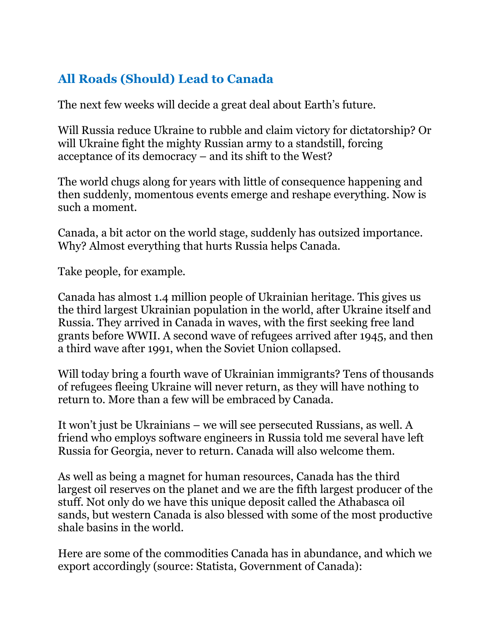### **All Roads (Should) Lead to Canada**

The next few weeks will decide a great deal about Earth's future.

Will Russia reduce Ukraine to rubble and claim victory for dictatorship? Or will Ukraine fight the mighty Russian army to a standstill, forcing acceptance of its democracy – and its shift to the West?

The world chugs along for years with little of consequence happening and then suddenly, momentous events emerge and reshape everything. Now is such a moment.

Canada, a bit actor on the world stage, suddenly has outsized importance. Why? Almost everything that hurts Russia helps Canada.

Take people, for example.

Canada has almost 1.4 million people of Ukrainian heritage. This gives us the third largest Ukrainian population in the world, after Ukraine itself and Russia. They arrived in Canada in waves, with the first seeking free land grants before WWII. A second wave of refugees arrived after 1945, and then a third wave after 1991, when the Soviet Union collapsed.

Will today bring a fourth wave of Ukrainian immigrants? Tens of thousands of refugees fleeing Ukraine will never return, as they will have nothing to return to. More than a few will be embraced by Canada.

It won't just be Ukrainians – we will see persecuted Russians, as well. A friend who employs software engineers in Russia told me several have left Russia for Georgia, never to return. Canada will also welcome them.

As well as being a magnet for human resources, Canada has the third largest oil reserves on the planet and we are the fifth largest producer of the stuff. Not only do we have this unique deposit called the Athabasca oil sands, but western Canada is also blessed with some of the most productive shale basins in the world.

Here are some of the commodities Canada has in abundance, and which we export accordingly (source: Statista, Government of Canada):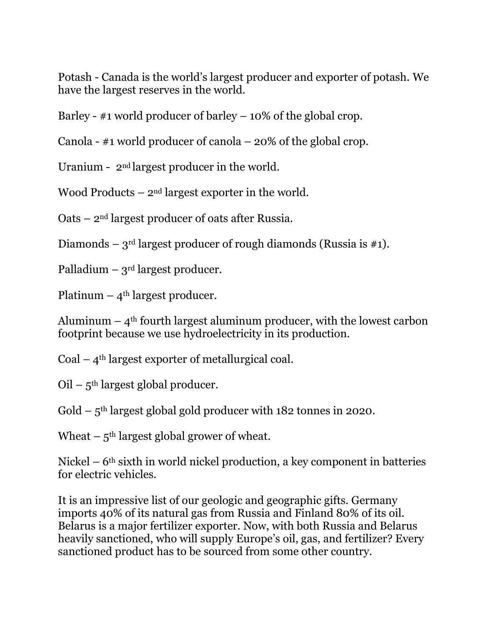Potash - Canada is the world's largest producer and exporter of potash. We have the largest reserves in the world.

Barley -  $\#1$  world producer of barley  $-10\%$  of the global crop.

Canola - #1 world producer of canola – 20% of the global crop.

Uranium - 2nd largest producer in the world.

Wood Products  $-2<sup>nd</sup>$  largest exporter in the world.

Oats – 2nd largest producer of oats after Russia.

Diamonds – 3<sup>rd</sup> largest producer of rough diamonds (Russia is  $\#1$ ).

Palladium –  $3<sup>rd</sup>$  largest producer.

Platinum –  $4<sup>th</sup>$  largest producer.

Aluminum  $-4$ <sup>th</sup> fourth largest aluminum producer, with the lowest carbon footprint because we use hydroelectricity in its production.

Coal  $-4$ <sup>th</sup> largest exporter of metallurgical coal.

 $Oil - 5<sup>th</sup>$  largest global producer.

 $Gold - 5<sup>th</sup> largest global gold producer with 182 tonnes in 2020.$ 

Wheat  $-5$ <sup>th</sup> largest global grower of wheat.

Nickel –  $6<sup>th</sup>$  sixth in world nickel production, a key component in batteries for electric vehicles.

It is an impressive list of our geologic and geographic gifts. Germany imports 40% of its natural gas from Russia and Finland 80% of its oil. Belarus is a major fertilizer exporter. Now, with both Russia and Belarus heavily sanctioned, who will supply Europe's oil, gas, and fertilizer? Every sanctioned product has to be sourced from some other country.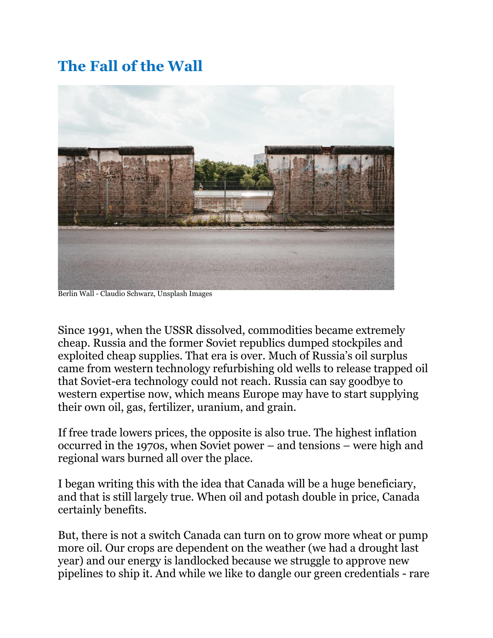# **The Fall of the Wall**



Berlin Wall - Claudio Schwarz, Unsplash Images

Since 1991, when the USSR dissolved, commodities became extremely cheap. Russia and the former Soviet republics dumped stockpiles and exploited cheap supplies. That era is over. Much of Russia's oil surplus came from western technology refurbishing old wells to release trapped oil that Soviet-era technology could not reach. Russia can say goodbye to western expertise now, which means Europe may have to start supplying their own oil, gas, fertilizer, uranium, and grain.

If free trade lowers prices, the opposite is also true. The highest inflation occurred in the 1970s, when Soviet power – and tensions – were high and regional wars burned all over the place.

I began writing this with the idea that Canada will be a huge beneficiary, and that is still largely true. When oil and potash double in price, Canada certainly benefits.

But, there is not a switch Canada can turn on to grow more wheat or pump more oil. Our crops are dependent on the weather (we had a drought last year) and our energy is landlocked because we struggle to approve new pipelines to ship it. And while we like to dangle our green credentials - rare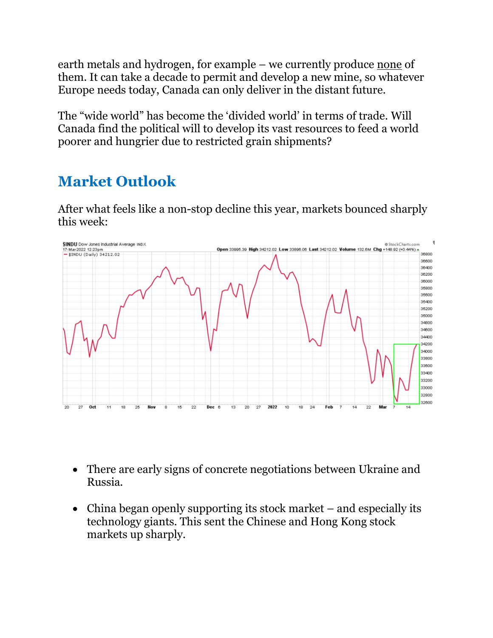earth metals and hydrogen, for example – we currently produce none of them. It can take a decade to permit and develop a new mine, so whatever Europe needs today, Canada can only deliver in the distant future.

The "wide world" has become the 'divided world' in terms of trade. Will Canada find the political will to develop its vast resources to feed a world poorer and hungrier due to restricted grain shipments?

# **Market Outlook**

After what feels like a non-stop decline this year, markets bounced sharply this week:



- There are early signs of concrete negotiations between Ukraine and Russia.
- China began openly supporting its stock market and especially its technology giants. This sent the Chinese and Hong Kong stock markets up sharply.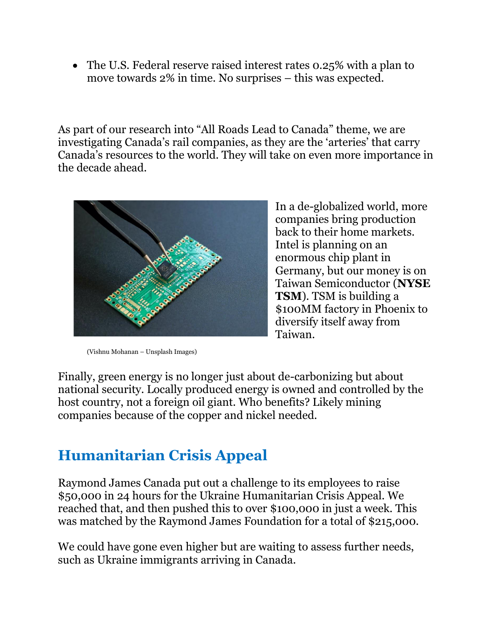• The U.S. Federal reserve raised interest rates 0.25% with a plan to move towards 2% in time. No surprises – this was expected.

As part of our research into "All Roads Lead to Canada" theme, we are investigating Canada's rail companies, as they are the 'arteries' that carry Canada's resources to the world. They will take on even more importance in the decade ahead.



In a de-globalized world, more companies bring production back to their home markets. Intel is planning on an enormous chip plant in Germany, but our money is on Taiwan Semiconductor (**NYSE TSM**). TSM is building a \$100MM factory in Phoenix to diversify itself away from Taiwan.

(Vishnu Mohanan – Unsplash Images)

Finally, green energy is no longer just about de-carbonizing but about national security. Locally produced energy is owned and controlled by the host country, not a foreign oil giant. Who benefits? Likely mining companies because of the copper and nickel needed.

## **Humanitarian Crisis Appeal**

Raymond James Canada put out a challenge to its employees to raise \$50,000 in 24 hours for the Ukraine Humanitarian Crisis Appeal. We reached that, and then pushed this to over \$100,000 in just a week. This was matched by the Raymond James Foundation for a total of \$215,000.

We could have gone even higher but are waiting to assess further needs, such as Ukraine immigrants arriving in Canada.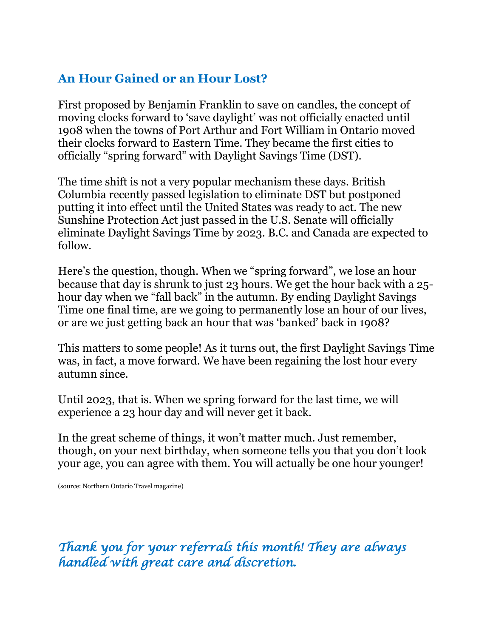### **An Hour Gained or an Hour Lost?**

First proposed by Benjamin Franklin to save on candles, the concept of moving clocks forward to 'save daylight' was not officially enacted until 1908 when the towns of Port Arthur and Fort William in Ontario moved their clocks forward to Eastern Time. They became the first cities to officially "spring forward" with Daylight Savings Time (DST).

The time shift is not a very popular mechanism these days. British Columbia recently passed legislation to eliminate DST but postponed putting it into effect until the United States was ready to act. The new Sunshine Protection Act just passed in the U.S. Senate will officially eliminate Daylight Savings Time by 2023. B.C. and Canada are expected to follow.

Here's the question, though. When we "spring forward", we lose an hour because that day is shrunk to just 23 hours. We get the hour back with a 25 hour day when we "fall back" in the autumn. By ending Daylight Savings Time one final time, are we going to permanently lose an hour of our lives, or are we just getting back an hour that was 'banked' back in 1908?

This matters to some people! As it turns out, the first Daylight Savings Time was, in fact, a move forward. We have been regaining the lost hour every autumn since.

Until 2023, that is. When we spring forward for the last time, we will experience a 23 hour day and will never get it back.

In the great scheme of things, it won't matter much. Just remember, though, on your next birthday, when someone tells you that you don't look your age, you can agree with them. You will actually be one hour younger!

(source: Northern Ontario Travel magazine)

*Thank you for your referrals this month! They are always handled with great care and discretion.*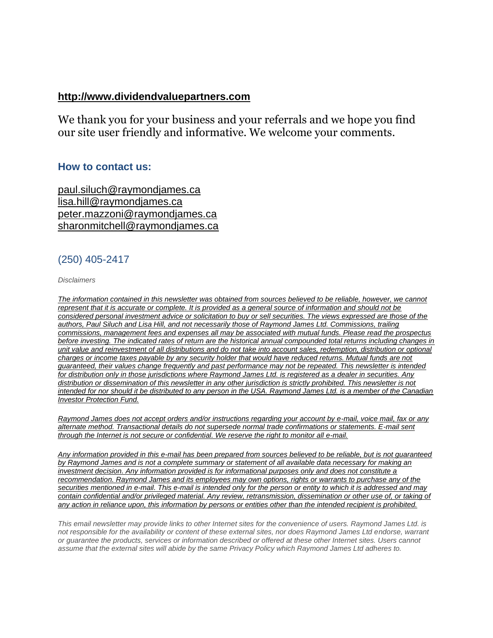#### **[http://www.dividendvaluepartners.com](https://na01.safelinks.protection.outlook.com/?url=https%3A%2F%2Furldefense.proofpoint.com%2Fv2%2Furl%3Fu%3Dhttps-3A__na01.safelinks.protection.outlook.com_-3Furl-3Dhttps-253A-252F-252Furldefense.proofpoint.com-252Fv2-252Furl-253Fu-253Dhttps-2D3A-5F-5Fnam11.safelinks.protection.outlook.com-5F-2D3Furl-2D3Dhttps-2D253A-2D252F-2D252Furldefense.proofpoint.com-2D252Fv2-2D252Furl-2D253Fu-2D253Dhttp-2D2D3A-2D5F-2D5Fwww.dividendvaluepartners.com-2D2526d-2D253DDwMFAw-2D2526c-2D253DK3dQCUGiI1B95NJ6cl3GoyhMW2dvBOfimZA-2D2D83UXll0-2D2526r-2D253D-2D5F6MBBSGYsFznIBwslhTiqBKEz4pHUCTd-2D5F9tbh-2D5FEpUMY-2D2526m-2D253DscBAtuMDuWZwK1IVr5YXjdB6aRS-2D2DfaGHAMq3jOn6sJU-2D2526s-2D253DenZqe4ZgcjH-2D5F33x5dT-2D2DvZq9A37d4AhNkXvjc6AbmYww-2D2526e-2D253D-2D26data-2D3D02-2D257C01-2D257C-2D257Cc172461ecbee4482512908d85e8192cf-2D257C84df9e7fe9f640afb435aaaaaaaaaaaa-2D257C1-2D257C0-2D257C637363258183615686-2D26sdata-2D3DewMvepveEmLgP7SL0jTlvLtATqW9IhbJ2C3UL0Em04c-2D253D-2D26reserved-2D3D0-2526d-253DDwMF-2Dg-2526c-253DK3dQCUGiI1B95NJ6cl3GoyhMW2dvBOfimZA-2D83UXll0-2526r-253D-5F6MBBSGYsFznIBwslhTiqBKEz4pHUCTd-5F9tbh-5FEpUMY-2526m-253D7qOaEnVxLdGuCP74qXGTNk9xkBSFm8R3CYYmRfTv9PQ-2526s-253DW8OEBAbaLee5suYwpNsPIikduscCx0SIuOWzAWRhAvc-2526e-253D-26data-3D04-257C01-257C-257Cd7befaa6204e4970b3c708d940d9c59b-257C84df9e7fe9f640afb435aaaaaaaaaaaa-257C1-257C0-257C637612126570747664-257CUnknown-257CTWFpbGZsb3d8eyJWIjoiMC4wLjAwMDAiLCJQIjoiV2luMzIiLCJBTiI6Ik1haWwiLCJXVCI6Mn0-253D-257C1000-26sdata-3DXHDuRL9htcGHCyG2hM-252BdTEOf1Bh8t-252BJ4FZMnSIBO5ik-253D-26reserved-3D0%26d%3DDwMGaQ%26c%3D6lBq1l7u-nYp55J7Pl8O6Ib5YT4g76ov0zCpXQrgS5M%26r%3DTmDOHaoWW3RetfvnGoPae_UczKZXXQgvJPe_P66GVYI%26m%3DHg8p8oxWBi-8j3HS2BzGxBvIXidcreERuI3mj9N1_KY%26s%3Dst9rMvZC9cnEMD4IqMaRfJa_flcWIkk1-2PG6qR-qfE%26e%3D&data=04%7C01%7C%7C96eb5c23f77d45400b0d08d9c04986b6%7C84df9e7fe9f640afb435aaaaaaaaaaaa%7C1%7C0%7C637752244322491119%7CUnknown%7CTWFpbGZsb3d8eyJWIjoiMC4wLjAwMDAiLCJQIjoiV2luMzIiLCJBTiI6Ik1haWwiLCJXVCI6Mn0%3D%7C3000&sdata=AvY77%2BenPPmTOcoV6v6rrLmdoi2uFtE3j3BQE4J4aZc%3D&reserved=0)**

We thank you for your business and your referrals and we hope you find our site user friendly and informative. We welcome your comments.

#### **How to contact us:**

[paul.siluch@raymondjames.ca](https://na01.safelinks.protection.outlook.com/?url=https%3A%2F%2Furldefense.proofpoint.com%2Fv2%2Furl%3Fu%3Dhttps-3A__na01.safelinks.protection.outlook.com_-3Furl-3Dhttps-253A-252F-252Furldefense.proofpoint.com-252Fv2-252Furl-253Fu-253Dhttps-2D3A-5F-5Fnam11.safelinks.protection.outlook.com-5F-2D3Furl-2D3Dhttps-2D253A-2D252F-2D252Fowa-2D2Dkel.raymondjames.ca-2D252Fowa-2D252Fredir.aspx-2D253FSURL-2D253Dz0BxOCXDlQ-2D2DAad1f-2D5Fa9igaARxm5Rd1VXE7UcmD4mZ3IZiacj7DPTCG0AYQBpAGwAdABvADoAcABhAHUAbAAuAHMAaQBsAHUAYwBoAEAAcgBhAHkAbQBvAG4AZABqAGEAbQBlAHMALgBjAGEA-2D2526URL-2D253Dmailto-2D25253apaul.siluch-2D252540raymondjames.ca-2D26data-2D3D02-2D257C01-2D257C-2D257Cc172461ecbee4482512908d85e8192cf-2D257C84df9e7fe9f640afb435aaaaaaaaaaaa-2D257C1-2D257C0-2D257C637363258183625679-2D26sdata-2D3DHJ7PtuamH3ey-2D252Bis0LQS7WLUtHpHoAnxnHrYxprmWKn4-2D253D-2D26reserved-2D3D0-2526d-253DDwMF-2Dg-2526c-253DK3dQCUGiI1B95NJ6cl3GoyhMW2dvBOfimZA-2D83UXll0-2526r-253D-5F6MBBSGYsFznIBwslhTiqBKEz4pHUCTd-5F9tbh-5FEpUMY-2526m-253D7qOaEnVxLdGuCP74qXGTNk9xkBSFm8R3CYYmRfTv9PQ-2526s-253DTKyIHrHn9jy3BGThbM3t6qa96Jt8NZSlnsJ21h5JIRM-2526e-253D-26data-3D04-257C01-257C-257Cd7befaa6204e4970b3c708d940d9c59b-257C84df9e7fe9f640afb435aaaaaaaaaaaa-257C1-257C0-257C637612126570757658-257CUnknown-257CTWFpbGZsb3d8eyJWIjoiMC4wLjAwMDAiLCJQIjoiV2luMzIiLCJBTiI6Ik1haWwiLCJXVCI6Mn0-253D-257C1000-26sdata-3DtSsTaE4gEuMLlAfRWRmi27n2azhUH-252FJQmjG-252FZzaiK5c-253D-26reserved-3D0%26d%3DDwMGaQ%26c%3D6lBq1l7u-nYp55J7Pl8O6Ib5YT4g76ov0zCpXQrgS5M%26r%3DTmDOHaoWW3RetfvnGoPae_UczKZXXQgvJPe_P66GVYI%26m%3DHg8p8oxWBi-8j3HS2BzGxBvIXidcreERuI3mj9N1_KY%26s%3DjmLVDhJSd1TJ4bMBNqpGj99vIekOC2VHC3jJMzP02hU%26e%3D&data=04%7C01%7C%7C96eb5c23f77d45400b0d08d9c04986b6%7C84df9e7fe9f640afb435aaaaaaaaaaaa%7C1%7C0%7C637752244322501116%7CUnknown%7CTWFpbGZsb3d8eyJWIjoiMC4wLjAwMDAiLCJQIjoiV2luMzIiLCJBTiI6Ik1haWwiLCJXVCI6Mn0%3D%7C3000&sdata=sZ7D4j%2B%2FU6%2B4Cz4%2FTSaoWD6JxvNh0FZMaEwnhYc0png%3D&reserved=0) [lisa.hill@raymondjames.ca](https://na01.safelinks.protection.outlook.com/?url=https%3A%2F%2Furldefense.proofpoint.com%2Fv2%2Furl%3Fu%3Dhttps-3A__na01.safelinks.protection.outlook.com_-3Furl-3Dhttps-253A-252F-252Furldefense.proofpoint.com-252Fv2-252Furl-253Fu-253Dhttps-2D3A-5F-5Fnam11.safelinks.protection.outlook.com-5F-2D3Furl-2D3Dhttps-2D253A-2D252F-2D252Fowa-2D2Dkel.raymondjames.ca-2D252Fowa-2D252Fredir.aspx-2D253FSURL-2D253DglaBgdTdxPMFpiw4eumg-2D2DPzZXpo9vJyObrXLs1TKtIAZiacj7DPTCG0AYQBpAGwAdABvADoAbABpAHMAYQAuAGgAaQBsAGwAQAByAGEAeQBtAG8AbgBkAGoAYQBtAGUAcwAuAGMAYQA.-2D2526URL-2D253Dmailto-2D25253alisa.hill-2D252540raymondjames.ca-2D26data-2D3D02-2D257C01-2D257C-2D257Cc172461ecbee4482512908d85e8192cf-2D257C84df9e7fe9f640afb435aaaaaaaaaaaa-2D257C1-2D257C0-2D257C637363258183625679-2D26sdata-2D3DlqUdr0V-2D252Bbj4LaURrM2MSPIDvGfk5bLYx0U1BkRoTrH4-2D253D-2D26reserved-2D3D0-2526d-253DDwMF-2Dg-2526c-253DK3dQCUGiI1B95NJ6cl3GoyhMW2dvBOfimZA-2D83UXll0-2526r-253D-5F6MBBSGYsFznIBwslhTiqBKEz4pHUCTd-5F9tbh-5FEpUMY-2526m-253D7qOaEnVxLdGuCP74qXGTNk9xkBSFm8R3CYYmRfTv9PQ-2526s-253Dc8alCSC-2Db4YnoP6-2D1kuPw-5FKdDfdlIvu8oQ-5Fwi3WtrQw-2526e-253D-26data-3D04-257C01-257C-257Cd7befaa6204e4970b3c708d940d9c59b-257C84df9e7fe9f640afb435aaaaaaaaaaaa-257C1-257C0-257C637612126570767658-257CUnknown-257CTWFpbGZsb3d8eyJWIjoiMC4wLjAwMDAiLCJQIjoiV2luMzIiLCJBTiI6Ik1haWwiLCJXVCI6Mn0-253D-257C1000-26sdata-3DmbkMF6OZzdEQL5epcHGHh3oDqQhUOkTuKZIDl6XG-252FdU-253D-26reserved-3D0%26d%3DDwMGaQ%26c%3D6lBq1l7u-nYp55J7Pl8O6Ib5YT4g76ov0zCpXQrgS5M%26r%3DTmDOHaoWW3RetfvnGoPae_UczKZXXQgvJPe_P66GVYI%26m%3DHg8p8oxWBi-8j3HS2BzGxBvIXidcreERuI3mj9N1_KY%26s%3DPBdSi3I-fggf2z2DNlsTu3IuS77Mx_WOJqyL2HH0698%26e%3D&data=04%7C01%7C%7C96eb5c23f77d45400b0d08d9c04986b6%7C84df9e7fe9f640afb435aaaaaaaaaaaa%7C1%7C0%7C637752244322511109%7CUnknown%7CTWFpbGZsb3d8eyJWIjoiMC4wLjAwMDAiLCJQIjoiV2luMzIiLCJBTiI6Ik1haWwiLCJXVCI6Mn0%3D%7C3000&sdata=U1WwVV7wLLUWf%2Fne15%2FVo06iIsBqkYR7zM6XwNxwDz8%3D&reserved=0) [peter.mazzoni@raymondjames.ca](https://na01.safelinks.protection.outlook.com/?url=https%3A%2F%2Furldefense.proofpoint.com%2Fv2%2Furl%3Fu%3Dhttps-3A__na01.safelinks.protection.outlook.com_-3Furl-3Dhttps-253A-252F-252Furldefense.proofpoint.com-252Fv2-252Furl-253Fu-253Dhttps-2D3A-5F-5Fnam11.safelinks.protection.outlook.com-5F-2D3Furl-2D3Dhttps-2D253A-2D252F-2D252Fowa-2D2Dkel.raymondjames.ca-2D252Fowa-2D252Fredir.aspx-2D253FSURL-2D253D3c7mDL9-2D2DcZxYXt7CvkOu20QVFy1WCaDQxUZ3BQE6vecZiacj7DPTCG0AYQBpAGwAdABvADoAcABlAHQAZQByAC4AbQBhAHoAegBvAG4AaQBAAHIAYQB5AG0AbwBuAGQAagBhAG0AZQBzAC4AYwBhAA..-2D2526URL-2D253Dmailto-2D25253apeter.mazzoni-2D252540raymondjames.ca-2D26data-2D3D02-2D257C01-2D257C-2D257Cc172461ecbee4482512908d85e8192cf-2D257C84df9e7fe9f640afb435aaaaaaaaaaaa-2D257C1-2D257C0-2D257C637363258183635674-2D26sdata-2D3D1suYGaoqcgH5k419ERrAlAGzpG-2D252BufP-2D252FAE-2D252FdOZxq8Cus-2D253D-2D26reserved-2D3D0-2526d-253DDwMF-2Dg-2526c-253DK3dQCUGiI1B95NJ6cl3GoyhMW2dvBOfimZA-2D83UXll0-2526r-253D-5F6MBBSGYsFznIBwslhTiqBKEz4pHUCTd-5F9tbh-5FEpUMY-2526m-253D7qOaEnVxLdGuCP74qXGTNk9xkBSFm8R3CYYmRfTv9PQ-2526s-253Dmwchq7c2WnuY-2DoLgiUBkMdFmrEXBtoSxe2YfSBkWXZU-2526e-253D-26data-3D04-257C01-257C-257Cd7befaa6204e4970b3c708d940d9c59b-257C84df9e7fe9f640afb435aaaaaaaaaaaa-257C1-257C0-257C637612126570777650-257CUnknown-257CTWFpbGZsb3d8eyJWIjoiMC4wLjAwMDAiLCJQIjoiV2luMzIiLCJBTiI6Ik1haWwiLCJXVCI6Mn0-253D-257C1000-26sdata-3DnVeeP1CL6-252FQeO1CpTWrrGxPY-252BWQV32hyGVF1TIeO-252FEU-253D-26reserved-3D0%26d%3DDwMGaQ%26c%3D6lBq1l7u-nYp55J7Pl8O6Ib5YT4g76ov0zCpXQrgS5M%26r%3DTmDOHaoWW3RetfvnGoPae_UczKZXXQgvJPe_P66GVYI%26m%3DHg8p8oxWBi-8j3HS2BzGxBvIXidcreERuI3mj9N1_KY%26s%3D38-c1IfAWv_rfunMKvnx7Jqt8ZX1mxyCR_xrJrr2Dt8%26e%3D&data=04%7C01%7C%7C96eb5c23f77d45400b0d08d9c04986b6%7C84df9e7fe9f640afb435aaaaaaaaaaaa%7C1%7C0%7C637752244322521106%7CUnknown%7CTWFpbGZsb3d8eyJWIjoiMC4wLjAwMDAiLCJQIjoiV2luMzIiLCJBTiI6Ik1haWwiLCJXVCI6Mn0%3D%7C3000&sdata=eXrsUXdFH3ZYcZ4QBwCKR8SJkvIYQDte%2BV8mnbbo%2FNg%3D&reserved=0) [sharonmitchell@raymondjames.ca](mailto:sharonmitchell@raymondjames.ca)

#### (250) 405-2417

*Disclaimers*

*[The information contained in this newsletter was obtained from sources believed to be reliable, however, we cannot](https://na01.safelinks.protection.outlook.com/?url=https%3A%2F%2Furldefense.proofpoint.com%2Fv2%2Furl%3Fu%3Dhttps-3A__na01.safelinks.protection.outlook.com_-3Furl-3Dhttps-253A-252F-252Furldefense.proofpoint.com-252Fv2-252Furl-253Fu-253Dhttps-2D3A-5F-5Fnam11.safelinks.protection.outlook.com-5F-2D3Furl-2D3Dhttps-2D253A-2D252F-2D252Fowa-2D2Dkel.raymondjames.ca-2D252Fowa-2D252Fredir.aspx-2D253FSURL-2D253Dz0BxOCXDlQ-2D2DAad1f-2D5Fa9igaARxm5Rd1VXE7UcmD4mZ3IZiacj7DPTCG0AYQBpAGwAdABvADoAcABhAHUAbAAuAHMAaQBsAHUAYwBoAEAAcgBhAHkAbQBvAG4AZABqAGEAbQBlAHMALgBjAGEA-2D2526URL-2D253Dmailto-2D25253apaul.siluch-2D252540raymondjames.ca-2D26data-2D3D02-2D257C01-2D257C-2D257Cc172461ecbee4482512908d85e8192cf-2D257C84df9e7fe9f640afb435aaaaaaaaaaaa-2D257C1-2D257C0-2D257C637363258183635674-2D26sdata-2D3DYxnEd1j-2D252BPKZ7O-2D252BaYYWd4rEqnA-2D252FsZJqXh5i43hxevA-2D252Bk-2D253D-2D26reserved-2D3D0-2526d-253DDwMF-2Dg-2526c-253DK3dQCUGiI1B95NJ6cl3GoyhMW2dvBOfimZA-2D83UXll0-2526r-253D-5F6MBBSGYsFznIBwslhTiqBKEz4pHUCTd-5F9tbh-5FEpUMY-2526m-253D7qOaEnVxLdGuCP74qXGTNk9xkBSFm8R3CYYmRfTv9PQ-2526s-253DnStAVPWry0CYI3VlF6rPrM0m6uEmVBMWcLnjvw4FcOQ-2526e-253D-26data-3D04-257C01-257C-257Cd7befaa6204e4970b3c708d940d9c59b-257C84df9e7fe9f640afb435aaaaaaaaaaaa-257C1-257C0-257C637612126570777650-257CUnknown-257CTWFpbGZsb3d8eyJWIjoiMC4wLjAwMDAiLCJQIjoiV2luMzIiLCJBTiI6Ik1haWwiLCJXVCI6Mn0-253D-257C1000-26sdata-3DM49ZXdnspSFZQrK596fbGTlretjh3YLak2zax0lTRhA-253D-26reserved-3D0%26d%3DDwMGaQ%26c%3D6lBq1l7u-nYp55J7Pl8O6Ib5YT4g76ov0zCpXQrgS5M%26r%3DTmDOHaoWW3RetfvnGoPae_UczKZXXQgvJPe_P66GVYI%26m%3DHg8p8oxWBi-8j3HS2BzGxBvIXidcreERuI3mj9N1_KY%26s%3DcHHP8E9p-dpaWlcpnlZpqEr5EDq5pp8nszhdjMVBqLQ%26e%3D&data=04%7C01%7C%7C96eb5c23f77d45400b0d08d9c04986b6%7C84df9e7fe9f640afb435aaaaaaaaaaaa%7C1%7C0%7C637752244322531100%7CUnknown%7CTWFpbGZsb3d8eyJWIjoiMC4wLjAwMDAiLCJQIjoiV2luMzIiLCJBTiI6Ik1haWwiLCJXVCI6Mn0%3D%7C3000&sdata=IOWgM6HBm%2BEybcpihvxUsdyDQXvn5YirVzSXUwnElj4%3D&reserved=0)  represent that it is accurate or complete. It is provided as a general source of information and should not be [considered personal investment advice or solicitation to buy or sell securities. The views expressed are those of the](https://na01.safelinks.protection.outlook.com/?url=https%3A%2F%2Furldefense.proofpoint.com%2Fv2%2Furl%3Fu%3Dhttps-3A__na01.safelinks.protection.outlook.com_-3Furl-3Dhttps-253A-252F-252Furldefense.proofpoint.com-252Fv2-252Furl-253Fu-253Dhttps-2D3A-5F-5Fnam11.safelinks.protection.outlook.com-5F-2D3Furl-2D3Dhttps-2D253A-2D252F-2D252Fowa-2D2Dkel.raymondjames.ca-2D252Fowa-2D252Fredir.aspx-2D253FSURL-2D253Dz0BxOCXDlQ-2D2DAad1f-2D5Fa9igaARxm5Rd1VXE7UcmD4mZ3IZiacj7DPTCG0AYQBpAGwAdABvADoAcABhAHUAbAAuAHMAaQBsAHUAYwBoAEAAcgBhAHkAbQBvAG4AZABqAGEAbQBlAHMALgBjAGEA-2D2526URL-2D253Dmailto-2D25253apaul.siluch-2D252540raymondjames.ca-2D26data-2D3D02-2D257C01-2D257C-2D257Cc172461ecbee4482512908d85e8192cf-2D257C84df9e7fe9f640afb435aaaaaaaaaaaa-2D257C1-2D257C0-2D257C637363258183635674-2D26sdata-2D3DYxnEd1j-2D252BPKZ7O-2D252BaYYWd4rEqnA-2D252FsZJqXh5i43hxevA-2D252Bk-2D253D-2D26reserved-2D3D0-2526d-253DDwMF-2Dg-2526c-253DK3dQCUGiI1B95NJ6cl3GoyhMW2dvBOfimZA-2D83UXll0-2526r-253D-5F6MBBSGYsFznIBwslhTiqBKEz4pHUCTd-5F9tbh-5FEpUMY-2526m-253D7qOaEnVxLdGuCP74qXGTNk9xkBSFm8R3CYYmRfTv9PQ-2526s-253DnStAVPWry0CYI3VlF6rPrM0m6uEmVBMWcLnjvw4FcOQ-2526e-253D-26data-3D04-257C01-257C-257Cd7befaa6204e4970b3c708d940d9c59b-257C84df9e7fe9f640afb435aaaaaaaaaaaa-257C1-257C0-257C637612126570777650-257CUnknown-257CTWFpbGZsb3d8eyJWIjoiMC4wLjAwMDAiLCJQIjoiV2luMzIiLCJBTiI6Ik1haWwiLCJXVCI6Mn0-253D-257C1000-26sdata-3DM49ZXdnspSFZQrK596fbGTlretjh3YLak2zax0lTRhA-253D-26reserved-3D0%26d%3DDwMGaQ%26c%3D6lBq1l7u-nYp55J7Pl8O6Ib5YT4g76ov0zCpXQrgS5M%26r%3DTmDOHaoWW3RetfvnGoPae_UczKZXXQgvJPe_P66GVYI%26m%3DHg8p8oxWBi-8j3HS2BzGxBvIXidcreERuI3mj9N1_KY%26s%3DcHHP8E9p-dpaWlcpnlZpqEr5EDq5pp8nszhdjMVBqLQ%26e%3D&data=04%7C01%7C%7C96eb5c23f77d45400b0d08d9c04986b6%7C84df9e7fe9f640afb435aaaaaaaaaaaa%7C1%7C0%7C637752244322531100%7CUnknown%7CTWFpbGZsb3d8eyJWIjoiMC4wLjAwMDAiLCJQIjoiV2luMzIiLCJBTiI6Ik1haWwiLCJXVCI6Mn0%3D%7C3000&sdata=IOWgM6HBm%2BEybcpihvxUsdyDQXvn5YirVzSXUwnElj4%3D&reserved=0)  [authors, Paul Siluch and Lisa Hill, and not necessarily those of Raymond James Ltd. Commissions, trailing](https://na01.safelinks.protection.outlook.com/?url=https%3A%2F%2Furldefense.proofpoint.com%2Fv2%2Furl%3Fu%3Dhttps-3A__na01.safelinks.protection.outlook.com_-3Furl-3Dhttps-253A-252F-252Furldefense.proofpoint.com-252Fv2-252Furl-253Fu-253Dhttps-2D3A-5F-5Fnam11.safelinks.protection.outlook.com-5F-2D3Furl-2D3Dhttps-2D253A-2D252F-2D252Fowa-2D2Dkel.raymondjames.ca-2D252Fowa-2D252Fredir.aspx-2D253FSURL-2D253Dz0BxOCXDlQ-2D2DAad1f-2D5Fa9igaARxm5Rd1VXE7UcmD4mZ3IZiacj7DPTCG0AYQBpAGwAdABvADoAcABhAHUAbAAuAHMAaQBsAHUAYwBoAEAAcgBhAHkAbQBvAG4AZABqAGEAbQBlAHMALgBjAGEA-2D2526URL-2D253Dmailto-2D25253apaul.siluch-2D252540raymondjames.ca-2D26data-2D3D02-2D257C01-2D257C-2D257Cc172461ecbee4482512908d85e8192cf-2D257C84df9e7fe9f640afb435aaaaaaaaaaaa-2D257C1-2D257C0-2D257C637363258183635674-2D26sdata-2D3DYxnEd1j-2D252BPKZ7O-2D252BaYYWd4rEqnA-2D252FsZJqXh5i43hxevA-2D252Bk-2D253D-2D26reserved-2D3D0-2526d-253DDwMF-2Dg-2526c-253DK3dQCUGiI1B95NJ6cl3GoyhMW2dvBOfimZA-2D83UXll0-2526r-253D-5F6MBBSGYsFznIBwslhTiqBKEz4pHUCTd-5F9tbh-5FEpUMY-2526m-253D7qOaEnVxLdGuCP74qXGTNk9xkBSFm8R3CYYmRfTv9PQ-2526s-253DnStAVPWry0CYI3VlF6rPrM0m6uEmVBMWcLnjvw4FcOQ-2526e-253D-26data-3D04-257C01-257C-257Cd7befaa6204e4970b3c708d940d9c59b-257C84df9e7fe9f640afb435aaaaaaaaaaaa-257C1-257C0-257C637612126570777650-257CUnknown-257CTWFpbGZsb3d8eyJWIjoiMC4wLjAwMDAiLCJQIjoiV2luMzIiLCJBTiI6Ik1haWwiLCJXVCI6Mn0-253D-257C1000-26sdata-3DM49ZXdnspSFZQrK596fbGTlretjh3YLak2zax0lTRhA-253D-26reserved-3D0%26d%3DDwMGaQ%26c%3D6lBq1l7u-nYp55J7Pl8O6Ib5YT4g76ov0zCpXQrgS5M%26r%3DTmDOHaoWW3RetfvnGoPae_UczKZXXQgvJPe_P66GVYI%26m%3DHg8p8oxWBi-8j3HS2BzGxBvIXidcreERuI3mj9N1_KY%26s%3DcHHP8E9p-dpaWlcpnlZpqEr5EDq5pp8nszhdjMVBqLQ%26e%3D&data=04%7C01%7C%7C96eb5c23f77d45400b0d08d9c04986b6%7C84df9e7fe9f640afb435aaaaaaaaaaaa%7C1%7C0%7C637752244322531100%7CUnknown%7CTWFpbGZsb3d8eyJWIjoiMC4wLjAwMDAiLCJQIjoiV2luMzIiLCJBTiI6Ik1haWwiLCJXVCI6Mn0%3D%7C3000&sdata=IOWgM6HBm%2BEybcpihvxUsdyDQXvn5YirVzSXUwnElj4%3D&reserved=0)  [commissions, management fees and expenses all may be associated with mutual funds. Please read the prospectus](https://na01.safelinks.protection.outlook.com/?url=https%3A%2F%2Furldefense.proofpoint.com%2Fv2%2Furl%3Fu%3Dhttps-3A__na01.safelinks.protection.outlook.com_-3Furl-3Dhttps-253A-252F-252Furldefense.proofpoint.com-252Fv2-252Furl-253Fu-253Dhttps-2D3A-5F-5Fnam11.safelinks.protection.outlook.com-5F-2D3Furl-2D3Dhttps-2D253A-2D252F-2D252Fowa-2D2Dkel.raymondjames.ca-2D252Fowa-2D252Fredir.aspx-2D253FSURL-2D253Dz0BxOCXDlQ-2D2DAad1f-2D5Fa9igaARxm5Rd1VXE7UcmD4mZ3IZiacj7DPTCG0AYQBpAGwAdABvADoAcABhAHUAbAAuAHMAaQBsAHUAYwBoAEAAcgBhAHkAbQBvAG4AZABqAGEAbQBlAHMALgBjAGEA-2D2526URL-2D253Dmailto-2D25253apaul.siluch-2D252540raymondjames.ca-2D26data-2D3D02-2D257C01-2D257C-2D257Cc172461ecbee4482512908d85e8192cf-2D257C84df9e7fe9f640afb435aaaaaaaaaaaa-2D257C1-2D257C0-2D257C637363258183635674-2D26sdata-2D3DYxnEd1j-2D252BPKZ7O-2D252BaYYWd4rEqnA-2D252FsZJqXh5i43hxevA-2D252Bk-2D253D-2D26reserved-2D3D0-2526d-253DDwMF-2Dg-2526c-253DK3dQCUGiI1B95NJ6cl3GoyhMW2dvBOfimZA-2D83UXll0-2526r-253D-5F6MBBSGYsFznIBwslhTiqBKEz4pHUCTd-5F9tbh-5FEpUMY-2526m-253D7qOaEnVxLdGuCP74qXGTNk9xkBSFm8R3CYYmRfTv9PQ-2526s-253DnStAVPWry0CYI3VlF6rPrM0m6uEmVBMWcLnjvw4FcOQ-2526e-253D-26data-3D04-257C01-257C-257Cd7befaa6204e4970b3c708d940d9c59b-257C84df9e7fe9f640afb435aaaaaaaaaaaa-257C1-257C0-257C637612126570777650-257CUnknown-257CTWFpbGZsb3d8eyJWIjoiMC4wLjAwMDAiLCJQIjoiV2luMzIiLCJBTiI6Ik1haWwiLCJXVCI6Mn0-253D-257C1000-26sdata-3DM49ZXdnspSFZQrK596fbGTlretjh3YLak2zax0lTRhA-253D-26reserved-3D0%26d%3DDwMGaQ%26c%3D6lBq1l7u-nYp55J7Pl8O6Ib5YT4g76ov0zCpXQrgS5M%26r%3DTmDOHaoWW3RetfvnGoPae_UczKZXXQgvJPe_P66GVYI%26m%3DHg8p8oxWBi-8j3HS2BzGxBvIXidcreERuI3mj9N1_KY%26s%3DcHHP8E9p-dpaWlcpnlZpqEr5EDq5pp8nszhdjMVBqLQ%26e%3D&data=04%7C01%7C%7C96eb5c23f77d45400b0d08d9c04986b6%7C84df9e7fe9f640afb435aaaaaaaaaaaa%7C1%7C0%7C637752244322531100%7CUnknown%7CTWFpbGZsb3d8eyJWIjoiMC4wLjAwMDAiLCJQIjoiV2luMzIiLCJBTiI6Ik1haWwiLCJXVCI6Mn0%3D%7C3000&sdata=IOWgM6HBm%2BEybcpihvxUsdyDQXvn5YirVzSXUwnElj4%3D&reserved=0)  [before investing. The indicated rates of return are the historical annual compounded total returns including changes in](https://na01.safelinks.protection.outlook.com/?url=https%3A%2F%2Furldefense.proofpoint.com%2Fv2%2Furl%3Fu%3Dhttps-3A__na01.safelinks.protection.outlook.com_-3Furl-3Dhttps-253A-252F-252Furldefense.proofpoint.com-252Fv2-252Furl-253Fu-253Dhttps-2D3A-5F-5Fnam11.safelinks.protection.outlook.com-5F-2D3Furl-2D3Dhttps-2D253A-2D252F-2D252Fowa-2D2Dkel.raymondjames.ca-2D252Fowa-2D252Fredir.aspx-2D253FSURL-2D253Dz0BxOCXDlQ-2D2DAad1f-2D5Fa9igaARxm5Rd1VXE7UcmD4mZ3IZiacj7DPTCG0AYQBpAGwAdABvADoAcABhAHUAbAAuAHMAaQBsAHUAYwBoAEAAcgBhAHkAbQBvAG4AZABqAGEAbQBlAHMALgBjAGEA-2D2526URL-2D253Dmailto-2D25253apaul.siluch-2D252540raymondjames.ca-2D26data-2D3D02-2D257C01-2D257C-2D257Cc172461ecbee4482512908d85e8192cf-2D257C84df9e7fe9f640afb435aaaaaaaaaaaa-2D257C1-2D257C0-2D257C637363258183635674-2D26sdata-2D3DYxnEd1j-2D252BPKZ7O-2D252BaYYWd4rEqnA-2D252FsZJqXh5i43hxevA-2D252Bk-2D253D-2D26reserved-2D3D0-2526d-253DDwMF-2Dg-2526c-253DK3dQCUGiI1B95NJ6cl3GoyhMW2dvBOfimZA-2D83UXll0-2526r-253D-5F6MBBSGYsFznIBwslhTiqBKEz4pHUCTd-5F9tbh-5FEpUMY-2526m-253D7qOaEnVxLdGuCP74qXGTNk9xkBSFm8R3CYYmRfTv9PQ-2526s-253DnStAVPWry0CYI3VlF6rPrM0m6uEmVBMWcLnjvw4FcOQ-2526e-253D-26data-3D04-257C01-257C-257Cd7befaa6204e4970b3c708d940d9c59b-257C84df9e7fe9f640afb435aaaaaaaaaaaa-257C1-257C0-257C637612126570777650-257CUnknown-257CTWFpbGZsb3d8eyJWIjoiMC4wLjAwMDAiLCJQIjoiV2luMzIiLCJBTiI6Ik1haWwiLCJXVCI6Mn0-253D-257C1000-26sdata-3DM49ZXdnspSFZQrK596fbGTlretjh3YLak2zax0lTRhA-253D-26reserved-3D0%26d%3DDwMGaQ%26c%3D6lBq1l7u-nYp55J7Pl8O6Ib5YT4g76ov0zCpXQrgS5M%26r%3DTmDOHaoWW3RetfvnGoPae_UczKZXXQgvJPe_P66GVYI%26m%3DHg8p8oxWBi-8j3HS2BzGxBvIXidcreERuI3mj9N1_KY%26s%3DcHHP8E9p-dpaWlcpnlZpqEr5EDq5pp8nszhdjMVBqLQ%26e%3D&data=04%7C01%7C%7C96eb5c23f77d45400b0d08d9c04986b6%7C84df9e7fe9f640afb435aaaaaaaaaaaa%7C1%7C0%7C637752244322531100%7CUnknown%7CTWFpbGZsb3d8eyJWIjoiMC4wLjAwMDAiLCJQIjoiV2luMzIiLCJBTiI6Ik1haWwiLCJXVCI6Mn0%3D%7C3000&sdata=IOWgM6HBm%2BEybcpihvxUsdyDQXvn5YirVzSXUwnElj4%3D&reserved=0)  [unit value and reinvestment of all distributions and do not take into account sales, redemption, distribution or optional](https://na01.safelinks.protection.outlook.com/?url=https%3A%2F%2Furldefense.proofpoint.com%2Fv2%2Furl%3Fu%3Dhttps-3A__na01.safelinks.protection.outlook.com_-3Furl-3Dhttps-253A-252F-252Furldefense.proofpoint.com-252Fv2-252Furl-253Fu-253Dhttps-2D3A-5F-5Fnam11.safelinks.protection.outlook.com-5F-2D3Furl-2D3Dhttps-2D253A-2D252F-2D252Fowa-2D2Dkel.raymondjames.ca-2D252Fowa-2D252Fredir.aspx-2D253FSURL-2D253Dz0BxOCXDlQ-2D2DAad1f-2D5Fa9igaARxm5Rd1VXE7UcmD4mZ3IZiacj7DPTCG0AYQBpAGwAdABvADoAcABhAHUAbAAuAHMAaQBsAHUAYwBoAEAAcgBhAHkAbQBvAG4AZABqAGEAbQBlAHMALgBjAGEA-2D2526URL-2D253Dmailto-2D25253apaul.siluch-2D252540raymondjames.ca-2D26data-2D3D02-2D257C01-2D257C-2D257Cc172461ecbee4482512908d85e8192cf-2D257C84df9e7fe9f640afb435aaaaaaaaaaaa-2D257C1-2D257C0-2D257C637363258183635674-2D26sdata-2D3DYxnEd1j-2D252BPKZ7O-2D252BaYYWd4rEqnA-2D252FsZJqXh5i43hxevA-2D252Bk-2D253D-2D26reserved-2D3D0-2526d-253DDwMF-2Dg-2526c-253DK3dQCUGiI1B95NJ6cl3GoyhMW2dvBOfimZA-2D83UXll0-2526r-253D-5F6MBBSGYsFznIBwslhTiqBKEz4pHUCTd-5F9tbh-5FEpUMY-2526m-253D7qOaEnVxLdGuCP74qXGTNk9xkBSFm8R3CYYmRfTv9PQ-2526s-253DnStAVPWry0CYI3VlF6rPrM0m6uEmVBMWcLnjvw4FcOQ-2526e-253D-26data-3D04-257C01-257C-257Cd7befaa6204e4970b3c708d940d9c59b-257C84df9e7fe9f640afb435aaaaaaaaaaaa-257C1-257C0-257C637612126570777650-257CUnknown-257CTWFpbGZsb3d8eyJWIjoiMC4wLjAwMDAiLCJQIjoiV2luMzIiLCJBTiI6Ik1haWwiLCJXVCI6Mn0-253D-257C1000-26sdata-3DM49ZXdnspSFZQrK596fbGTlretjh3YLak2zax0lTRhA-253D-26reserved-3D0%26d%3DDwMGaQ%26c%3D6lBq1l7u-nYp55J7Pl8O6Ib5YT4g76ov0zCpXQrgS5M%26r%3DTmDOHaoWW3RetfvnGoPae_UczKZXXQgvJPe_P66GVYI%26m%3DHg8p8oxWBi-8j3HS2BzGxBvIXidcreERuI3mj9N1_KY%26s%3DcHHP8E9p-dpaWlcpnlZpqEr5EDq5pp8nszhdjMVBqLQ%26e%3D&data=04%7C01%7C%7C96eb5c23f77d45400b0d08d9c04986b6%7C84df9e7fe9f640afb435aaaaaaaaaaaa%7C1%7C0%7C637752244322531100%7CUnknown%7CTWFpbGZsb3d8eyJWIjoiMC4wLjAwMDAiLCJQIjoiV2luMzIiLCJBTiI6Ik1haWwiLCJXVCI6Mn0%3D%7C3000&sdata=IOWgM6HBm%2BEybcpihvxUsdyDQXvn5YirVzSXUwnElj4%3D&reserved=0)  [charges or income taxes payable by any security holder that would have reduced returns. Mutual funds are not](https://na01.safelinks.protection.outlook.com/?url=https%3A%2F%2Furldefense.proofpoint.com%2Fv2%2Furl%3Fu%3Dhttps-3A__na01.safelinks.protection.outlook.com_-3Furl-3Dhttps-253A-252F-252Furldefense.proofpoint.com-252Fv2-252Furl-253Fu-253Dhttps-2D3A-5F-5Fnam11.safelinks.protection.outlook.com-5F-2D3Furl-2D3Dhttps-2D253A-2D252F-2D252Fowa-2D2Dkel.raymondjames.ca-2D252Fowa-2D252Fredir.aspx-2D253FSURL-2D253Dz0BxOCXDlQ-2D2DAad1f-2D5Fa9igaARxm5Rd1VXE7UcmD4mZ3IZiacj7DPTCG0AYQBpAGwAdABvADoAcABhAHUAbAAuAHMAaQBsAHUAYwBoAEAAcgBhAHkAbQBvAG4AZABqAGEAbQBlAHMALgBjAGEA-2D2526URL-2D253Dmailto-2D25253apaul.siluch-2D252540raymondjames.ca-2D26data-2D3D02-2D257C01-2D257C-2D257Cc172461ecbee4482512908d85e8192cf-2D257C84df9e7fe9f640afb435aaaaaaaaaaaa-2D257C1-2D257C0-2D257C637363258183635674-2D26sdata-2D3DYxnEd1j-2D252BPKZ7O-2D252BaYYWd4rEqnA-2D252FsZJqXh5i43hxevA-2D252Bk-2D253D-2D26reserved-2D3D0-2526d-253DDwMF-2Dg-2526c-253DK3dQCUGiI1B95NJ6cl3GoyhMW2dvBOfimZA-2D83UXll0-2526r-253D-5F6MBBSGYsFznIBwslhTiqBKEz4pHUCTd-5F9tbh-5FEpUMY-2526m-253D7qOaEnVxLdGuCP74qXGTNk9xkBSFm8R3CYYmRfTv9PQ-2526s-253DnStAVPWry0CYI3VlF6rPrM0m6uEmVBMWcLnjvw4FcOQ-2526e-253D-26data-3D04-257C01-257C-257Cd7befaa6204e4970b3c708d940d9c59b-257C84df9e7fe9f640afb435aaaaaaaaaaaa-257C1-257C0-257C637612126570777650-257CUnknown-257CTWFpbGZsb3d8eyJWIjoiMC4wLjAwMDAiLCJQIjoiV2luMzIiLCJBTiI6Ik1haWwiLCJXVCI6Mn0-253D-257C1000-26sdata-3DM49ZXdnspSFZQrK596fbGTlretjh3YLak2zax0lTRhA-253D-26reserved-3D0%26d%3DDwMGaQ%26c%3D6lBq1l7u-nYp55J7Pl8O6Ib5YT4g76ov0zCpXQrgS5M%26r%3DTmDOHaoWW3RetfvnGoPae_UczKZXXQgvJPe_P66GVYI%26m%3DHg8p8oxWBi-8j3HS2BzGxBvIXidcreERuI3mj9N1_KY%26s%3DcHHP8E9p-dpaWlcpnlZpqEr5EDq5pp8nszhdjMVBqLQ%26e%3D&data=04%7C01%7C%7C96eb5c23f77d45400b0d08d9c04986b6%7C84df9e7fe9f640afb435aaaaaaaaaaaa%7C1%7C0%7C637752244322531100%7CUnknown%7CTWFpbGZsb3d8eyJWIjoiMC4wLjAwMDAiLCJQIjoiV2luMzIiLCJBTiI6Ik1haWwiLCJXVCI6Mn0%3D%7C3000&sdata=IOWgM6HBm%2BEybcpihvxUsdyDQXvn5YirVzSXUwnElj4%3D&reserved=0)  [guaranteed, their values change frequently and past performance may not be repeated. This newsletter is intended](https://na01.safelinks.protection.outlook.com/?url=https%3A%2F%2Furldefense.proofpoint.com%2Fv2%2Furl%3Fu%3Dhttps-3A__na01.safelinks.protection.outlook.com_-3Furl-3Dhttps-253A-252F-252Furldefense.proofpoint.com-252Fv2-252Furl-253Fu-253Dhttps-2D3A-5F-5Fnam11.safelinks.protection.outlook.com-5F-2D3Furl-2D3Dhttps-2D253A-2D252F-2D252Fowa-2D2Dkel.raymondjames.ca-2D252Fowa-2D252Fredir.aspx-2D253FSURL-2D253Dz0BxOCXDlQ-2D2DAad1f-2D5Fa9igaARxm5Rd1VXE7UcmD4mZ3IZiacj7DPTCG0AYQBpAGwAdABvADoAcABhAHUAbAAuAHMAaQBsAHUAYwBoAEAAcgBhAHkAbQBvAG4AZABqAGEAbQBlAHMALgBjAGEA-2D2526URL-2D253Dmailto-2D25253apaul.siluch-2D252540raymondjames.ca-2D26data-2D3D02-2D257C01-2D257C-2D257Cc172461ecbee4482512908d85e8192cf-2D257C84df9e7fe9f640afb435aaaaaaaaaaaa-2D257C1-2D257C0-2D257C637363258183635674-2D26sdata-2D3DYxnEd1j-2D252BPKZ7O-2D252BaYYWd4rEqnA-2D252FsZJqXh5i43hxevA-2D252Bk-2D253D-2D26reserved-2D3D0-2526d-253DDwMF-2Dg-2526c-253DK3dQCUGiI1B95NJ6cl3GoyhMW2dvBOfimZA-2D83UXll0-2526r-253D-5F6MBBSGYsFznIBwslhTiqBKEz4pHUCTd-5F9tbh-5FEpUMY-2526m-253D7qOaEnVxLdGuCP74qXGTNk9xkBSFm8R3CYYmRfTv9PQ-2526s-253DnStAVPWry0CYI3VlF6rPrM0m6uEmVBMWcLnjvw4FcOQ-2526e-253D-26data-3D04-257C01-257C-257Cd7befaa6204e4970b3c708d940d9c59b-257C84df9e7fe9f640afb435aaaaaaaaaaaa-257C1-257C0-257C637612126570777650-257CUnknown-257CTWFpbGZsb3d8eyJWIjoiMC4wLjAwMDAiLCJQIjoiV2luMzIiLCJBTiI6Ik1haWwiLCJXVCI6Mn0-253D-257C1000-26sdata-3DM49ZXdnspSFZQrK596fbGTlretjh3YLak2zax0lTRhA-253D-26reserved-3D0%26d%3DDwMGaQ%26c%3D6lBq1l7u-nYp55J7Pl8O6Ib5YT4g76ov0zCpXQrgS5M%26r%3DTmDOHaoWW3RetfvnGoPae_UczKZXXQgvJPe_P66GVYI%26m%3DHg8p8oxWBi-8j3HS2BzGxBvIXidcreERuI3mj9N1_KY%26s%3DcHHP8E9p-dpaWlcpnlZpqEr5EDq5pp8nszhdjMVBqLQ%26e%3D&data=04%7C01%7C%7C96eb5c23f77d45400b0d08d9c04986b6%7C84df9e7fe9f640afb435aaaaaaaaaaaa%7C1%7C0%7C637752244322531100%7CUnknown%7CTWFpbGZsb3d8eyJWIjoiMC4wLjAwMDAiLCJQIjoiV2luMzIiLCJBTiI6Ik1haWwiLCJXVCI6Mn0%3D%7C3000&sdata=IOWgM6HBm%2BEybcpihvxUsdyDQXvn5YirVzSXUwnElj4%3D&reserved=0)  [for distribution only in those jurisdictions where Raymond James Ltd. is registered as a dealer in securities. Any](https://na01.safelinks.protection.outlook.com/?url=https%3A%2F%2Furldefense.proofpoint.com%2Fv2%2Furl%3Fu%3Dhttps-3A__na01.safelinks.protection.outlook.com_-3Furl-3Dhttps-253A-252F-252Furldefense.proofpoint.com-252Fv2-252Furl-253Fu-253Dhttps-2D3A-5F-5Fnam11.safelinks.protection.outlook.com-5F-2D3Furl-2D3Dhttps-2D253A-2D252F-2D252Fowa-2D2Dkel.raymondjames.ca-2D252Fowa-2D252Fredir.aspx-2D253FSURL-2D253Dz0BxOCXDlQ-2D2DAad1f-2D5Fa9igaARxm5Rd1VXE7UcmD4mZ3IZiacj7DPTCG0AYQBpAGwAdABvADoAcABhAHUAbAAuAHMAaQBsAHUAYwBoAEAAcgBhAHkAbQBvAG4AZABqAGEAbQBlAHMALgBjAGEA-2D2526URL-2D253Dmailto-2D25253apaul.siluch-2D252540raymondjames.ca-2D26data-2D3D02-2D257C01-2D257C-2D257Cc172461ecbee4482512908d85e8192cf-2D257C84df9e7fe9f640afb435aaaaaaaaaaaa-2D257C1-2D257C0-2D257C637363258183635674-2D26sdata-2D3DYxnEd1j-2D252BPKZ7O-2D252BaYYWd4rEqnA-2D252FsZJqXh5i43hxevA-2D252Bk-2D253D-2D26reserved-2D3D0-2526d-253DDwMF-2Dg-2526c-253DK3dQCUGiI1B95NJ6cl3GoyhMW2dvBOfimZA-2D83UXll0-2526r-253D-5F6MBBSGYsFznIBwslhTiqBKEz4pHUCTd-5F9tbh-5FEpUMY-2526m-253D7qOaEnVxLdGuCP74qXGTNk9xkBSFm8R3CYYmRfTv9PQ-2526s-253DnStAVPWry0CYI3VlF6rPrM0m6uEmVBMWcLnjvw4FcOQ-2526e-253D-26data-3D04-257C01-257C-257Cd7befaa6204e4970b3c708d940d9c59b-257C84df9e7fe9f640afb435aaaaaaaaaaaa-257C1-257C0-257C637612126570777650-257CUnknown-257CTWFpbGZsb3d8eyJWIjoiMC4wLjAwMDAiLCJQIjoiV2luMzIiLCJBTiI6Ik1haWwiLCJXVCI6Mn0-253D-257C1000-26sdata-3DM49ZXdnspSFZQrK596fbGTlretjh3YLak2zax0lTRhA-253D-26reserved-3D0%26d%3DDwMGaQ%26c%3D6lBq1l7u-nYp55J7Pl8O6Ib5YT4g76ov0zCpXQrgS5M%26r%3DTmDOHaoWW3RetfvnGoPae_UczKZXXQgvJPe_P66GVYI%26m%3DHg8p8oxWBi-8j3HS2BzGxBvIXidcreERuI3mj9N1_KY%26s%3DcHHP8E9p-dpaWlcpnlZpqEr5EDq5pp8nszhdjMVBqLQ%26e%3D&data=04%7C01%7C%7C96eb5c23f77d45400b0d08d9c04986b6%7C84df9e7fe9f640afb435aaaaaaaaaaaa%7C1%7C0%7C637752244322531100%7CUnknown%7CTWFpbGZsb3d8eyJWIjoiMC4wLjAwMDAiLCJQIjoiV2luMzIiLCJBTiI6Ik1haWwiLCJXVCI6Mn0%3D%7C3000&sdata=IOWgM6HBm%2BEybcpihvxUsdyDQXvn5YirVzSXUwnElj4%3D&reserved=0)  [distribution or dissemination of this newsletter in any other jurisdiction is strictly prohibited. This newsletter is not](https://na01.safelinks.protection.outlook.com/?url=https%3A%2F%2Furldefense.proofpoint.com%2Fv2%2Furl%3Fu%3Dhttps-3A__na01.safelinks.protection.outlook.com_-3Furl-3Dhttps-253A-252F-252Furldefense.proofpoint.com-252Fv2-252Furl-253Fu-253Dhttps-2D3A-5F-5Fnam11.safelinks.protection.outlook.com-5F-2D3Furl-2D3Dhttps-2D253A-2D252F-2D252Fowa-2D2Dkel.raymondjames.ca-2D252Fowa-2D252Fredir.aspx-2D253FSURL-2D253Dz0BxOCXDlQ-2D2DAad1f-2D5Fa9igaARxm5Rd1VXE7UcmD4mZ3IZiacj7DPTCG0AYQBpAGwAdABvADoAcABhAHUAbAAuAHMAaQBsAHUAYwBoAEAAcgBhAHkAbQBvAG4AZABqAGEAbQBlAHMALgBjAGEA-2D2526URL-2D253Dmailto-2D25253apaul.siluch-2D252540raymondjames.ca-2D26data-2D3D02-2D257C01-2D257C-2D257Cc172461ecbee4482512908d85e8192cf-2D257C84df9e7fe9f640afb435aaaaaaaaaaaa-2D257C1-2D257C0-2D257C637363258183635674-2D26sdata-2D3DYxnEd1j-2D252BPKZ7O-2D252BaYYWd4rEqnA-2D252FsZJqXh5i43hxevA-2D252Bk-2D253D-2D26reserved-2D3D0-2526d-253DDwMF-2Dg-2526c-253DK3dQCUGiI1B95NJ6cl3GoyhMW2dvBOfimZA-2D83UXll0-2526r-253D-5F6MBBSGYsFznIBwslhTiqBKEz4pHUCTd-5F9tbh-5FEpUMY-2526m-253D7qOaEnVxLdGuCP74qXGTNk9xkBSFm8R3CYYmRfTv9PQ-2526s-253DnStAVPWry0CYI3VlF6rPrM0m6uEmVBMWcLnjvw4FcOQ-2526e-253D-26data-3D04-257C01-257C-257Cd7befaa6204e4970b3c708d940d9c59b-257C84df9e7fe9f640afb435aaaaaaaaaaaa-257C1-257C0-257C637612126570777650-257CUnknown-257CTWFpbGZsb3d8eyJWIjoiMC4wLjAwMDAiLCJQIjoiV2luMzIiLCJBTiI6Ik1haWwiLCJXVCI6Mn0-253D-257C1000-26sdata-3DM49ZXdnspSFZQrK596fbGTlretjh3YLak2zax0lTRhA-253D-26reserved-3D0%26d%3DDwMGaQ%26c%3D6lBq1l7u-nYp55J7Pl8O6Ib5YT4g76ov0zCpXQrgS5M%26r%3DTmDOHaoWW3RetfvnGoPae_UczKZXXQgvJPe_P66GVYI%26m%3DHg8p8oxWBi-8j3HS2BzGxBvIXidcreERuI3mj9N1_KY%26s%3DcHHP8E9p-dpaWlcpnlZpqEr5EDq5pp8nszhdjMVBqLQ%26e%3D&data=04%7C01%7C%7C96eb5c23f77d45400b0d08d9c04986b6%7C84df9e7fe9f640afb435aaaaaaaaaaaa%7C1%7C0%7C637752244322531100%7CUnknown%7CTWFpbGZsb3d8eyJWIjoiMC4wLjAwMDAiLCJQIjoiV2luMzIiLCJBTiI6Ik1haWwiLCJXVCI6Mn0%3D%7C3000&sdata=IOWgM6HBm%2BEybcpihvxUsdyDQXvn5YirVzSXUwnElj4%3D&reserved=0)  [intended for nor should it be distributed to any person in the USA. Raymond James Ltd. is a member of the Canadian](https://na01.safelinks.protection.outlook.com/?url=https%3A%2F%2Furldefense.proofpoint.com%2Fv2%2Furl%3Fu%3Dhttps-3A__na01.safelinks.protection.outlook.com_-3Furl-3Dhttps-253A-252F-252Furldefense.proofpoint.com-252Fv2-252Furl-253Fu-253Dhttps-2D3A-5F-5Fnam11.safelinks.protection.outlook.com-5F-2D3Furl-2D3Dhttps-2D253A-2D252F-2D252Fowa-2D2Dkel.raymondjames.ca-2D252Fowa-2D252Fredir.aspx-2D253FSURL-2D253Dz0BxOCXDlQ-2D2DAad1f-2D5Fa9igaARxm5Rd1VXE7UcmD4mZ3IZiacj7DPTCG0AYQBpAGwAdABvADoAcABhAHUAbAAuAHMAaQBsAHUAYwBoAEAAcgBhAHkAbQBvAG4AZABqAGEAbQBlAHMALgBjAGEA-2D2526URL-2D253Dmailto-2D25253apaul.siluch-2D252540raymondjames.ca-2D26data-2D3D02-2D257C01-2D257C-2D257Cc172461ecbee4482512908d85e8192cf-2D257C84df9e7fe9f640afb435aaaaaaaaaaaa-2D257C1-2D257C0-2D257C637363258183635674-2D26sdata-2D3DYxnEd1j-2D252BPKZ7O-2D252BaYYWd4rEqnA-2D252FsZJqXh5i43hxevA-2D252Bk-2D253D-2D26reserved-2D3D0-2526d-253DDwMF-2Dg-2526c-253DK3dQCUGiI1B95NJ6cl3GoyhMW2dvBOfimZA-2D83UXll0-2526r-253D-5F6MBBSGYsFznIBwslhTiqBKEz4pHUCTd-5F9tbh-5FEpUMY-2526m-253D7qOaEnVxLdGuCP74qXGTNk9xkBSFm8R3CYYmRfTv9PQ-2526s-253DnStAVPWry0CYI3VlF6rPrM0m6uEmVBMWcLnjvw4FcOQ-2526e-253D-26data-3D04-257C01-257C-257Cd7befaa6204e4970b3c708d940d9c59b-257C84df9e7fe9f640afb435aaaaaaaaaaaa-257C1-257C0-257C637612126570777650-257CUnknown-257CTWFpbGZsb3d8eyJWIjoiMC4wLjAwMDAiLCJQIjoiV2luMzIiLCJBTiI6Ik1haWwiLCJXVCI6Mn0-253D-257C1000-26sdata-3DM49ZXdnspSFZQrK596fbGTlretjh3YLak2zax0lTRhA-253D-26reserved-3D0%26d%3DDwMGaQ%26c%3D6lBq1l7u-nYp55J7Pl8O6Ib5YT4g76ov0zCpXQrgS5M%26r%3DTmDOHaoWW3RetfvnGoPae_UczKZXXQgvJPe_P66GVYI%26m%3DHg8p8oxWBi-8j3HS2BzGxBvIXidcreERuI3mj9N1_KY%26s%3DcHHP8E9p-dpaWlcpnlZpqEr5EDq5pp8nszhdjMVBqLQ%26e%3D&data=04%7C01%7C%7C96eb5c23f77d45400b0d08d9c04986b6%7C84df9e7fe9f640afb435aaaaaaaaaaaa%7C1%7C0%7C637752244322531100%7CUnknown%7CTWFpbGZsb3d8eyJWIjoiMC4wLjAwMDAiLCJQIjoiV2luMzIiLCJBTiI6Ik1haWwiLCJXVCI6Mn0%3D%7C3000&sdata=IOWgM6HBm%2BEybcpihvxUsdyDQXvn5YirVzSXUwnElj4%3D&reserved=0)  [Investor Protection Fund.](https://na01.safelinks.protection.outlook.com/?url=https%3A%2F%2Furldefense.proofpoint.com%2Fv2%2Furl%3Fu%3Dhttps-3A__na01.safelinks.protection.outlook.com_-3Furl-3Dhttps-253A-252F-252Furldefense.proofpoint.com-252Fv2-252Furl-253Fu-253Dhttps-2D3A-5F-5Fnam11.safelinks.protection.outlook.com-5F-2D3Furl-2D3Dhttps-2D253A-2D252F-2D252Fowa-2D2Dkel.raymondjames.ca-2D252Fowa-2D252Fredir.aspx-2D253FSURL-2D253Dz0BxOCXDlQ-2D2DAad1f-2D5Fa9igaARxm5Rd1VXE7UcmD4mZ3IZiacj7DPTCG0AYQBpAGwAdABvADoAcABhAHUAbAAuAHMAaQBsAHUAYwBoAEAAcgBhAHkAbQBvAG4AZABqAGEAbQBlAHMALgBjAGEA-2D2526URL-2D253Dmailto-2D25253apaul.siluch-2D252540raymondjames.ca-2D26data-2D3D02-2D257C01-2D257C-2D257Cc172461ecbee4482512908d85e8192cf-2D257C84df9e7fe9f640afb435aaaaaaaaaaaa-2D257C1-2D257C0-2D257C637363258183635674-2D26sdata-2D3DYxnEd1j-2D252BPKZ7O-2D252BaYYWd4rEqnA-2D252FsZJqXh5i43hxevA-2D252Bk-2D253D-2D26reserved-2D3D0-2526d-253DDwMF-2Dg-2526c-253DK3dQCUGiI1B95NJ6cl3GoyhMW2dvBOfimZA-2D83UXll0-2526r-253D-5F6MBBSGYsFznIBwslhTiqBKEz4pHUCTd-5F9tbh-5FEpUMY-2526m-253D7qOaEnVxLdGuCP74qXGTNk9xkBSFm8R3CYYmRfTv9PQ-2526s-253DnStAVPWry0CYI3VlF6rPrM0m6uEmVBMWcLnjvw4FcOQ-2526e-253D-26data-3D04-257C01-257C-257Cd7befaa6204e4970b3c708d940d9c59b-257C84df9e7fe9f640afb435aaaaaaaaaaaa-257C1-257C0-257C637612126570777650-257CUnknown-257CTWFpbGZsb3d8eyJWIjoiMC4wLjAwMDAiLCJQIjoiV2luMzIiLCJBTiI6Ik1haWwiLCJXVCI6Mn0-253D-257C1000-26sdata-3DM49ZXdnspSFZQrK596fbGTlretjh3YLak2zax0lTRhA-253D-26reserved-3D0%26d%3DDwMGaQ%26c%3D6lBq1l7u-nYp55J7Pl8O6Ib5YT4g76ov0zCpXQrgS5M%26r%3DTmDOHaoWW3RetfvnGoPae_UczKZXXQgvJPe_P66GVYI%26m%3DHg8p8oxWBi-8j3HS2BzGxBvIXidcreERuI3mj9N1_KY%26s%3DcHHP8E9p-dpaWlcpnlZpqEr5EDq5pp8nszhdjMVBqLQ%26e%3D&data=04%7C01%7C%7C96eb5c23f77d45400b0d08d9c04986b6%7C84df9e7fe9f640afb435aaaaaaaaaaaa%7C1%7C0%7C637752244322531100%7CUnknown%7CTWFpbGZsb3d8eyJWIjoiMC4wLjAwMDAiLCJQIjoiV2luMzIiLCJBTiI6Ik1haWwiLCJXVCI6Mn0%3D%7C3000&sdata=IOWgM6HBm%2BEybcpihvxUsdyDQXvn5YirVzSXUwnElj4%3D&reserved=0)* 

*[Raymond James does not accept orders and/or instructions regarding your account by e-mail, voice mail, fax or any](https://na01.safelinks.protection.outlook.com/?url=https%3A%2F%2Furldefense.proofpoint.com%2Fv2%2Furl%3Fu%3Dhttps-3A__na01.safelinks.protection.outlook.com_-3Furl-3Dhttps-253A-252F-252Furldefense.proofpoint.com-252Fv2-252Furl-253Fu-253Dhttps-2D3A-5F-5Fnam11.safelinks.protection.outlook.com-5F-2D3Furl-2D3Dhttps-2D253A-2D252F-2D252Fowa-2D2Dkel.raymondjames.ca-2D252Fowa-2D252Fredir.aspx-2D253FSURL-2D253Dz0BxOCXDlQ-2D2DAad1f-2D5Fa9igaARxm5Rd1VXE7UcmD4mZ3IZiacj7DPTCG0AYQBpAGwAdABvADoAcABhAHUAbAAuAHMAaQBsAHUAYwBoAEAAcgBhAHkAbQBvAG4AZABqAGEAbQBlAHMALgBjAGEA-2D2526URL-2D253Dmailto-2D25253apaul.siluch-2D252540raymondjames.ca-2D26data-2D3D02-2D257C01-2D257C-2D257Cc172461ecbee4482512908d85e8192cf-2D257C84df9e7fe9f640afb435aaaaaaaaaaaa-2D257C1-2D257C0-2D257C637363258183645669-2D26sdata-2D3DjKvjWtH2krR43u3J3z5Cv9nHD0QMiBAUf4SY0jMfuYE-2D253D-2D26reserved-2D3D0-2526d-253DDwMF-2Dg-2526c-253DK3dQCUGiI1B95NJ6cl3GoyhMW2dvBOfimZA-2D83UXll0-2526r-253D-5F6MBBSGYsFznIBwslhTiqBKEz4pHUCTd-5F9tbh-5FEpUMY-2526m-253D7qOaEnVxLdGuCP74qXGTNk9xkBSFm8R3CYYmRfTv9PQ-2526s-253Dm8uHgNiRKEtIPVRoT8MsE-2DO97e6Q7JVm8rnhQdyv494-2526e-253D-26data-3D04-257C01-257C-257Cd7befaa6204e4970b3c708d940d9c59b-257C84df9e7fe9f640afb435aaaaaaaaaaaa-257C1-257C0-257C637612126570787644-257CUnknown-257CTWFpbGZsb3d8eyJWIjoiMC4wLjAwMDAiLCJQIjoiV2luMzIiLCJBTiI6Ik1haWwiLCJXVCI6Mn0-253D-257C1000-26sdata-3D73rUPtlV6R5leOKwzO7FnFM8Vfz2thT34FLtm0IZenI-253D-26reserved-3D0%26d%3DDwMGaQ%26c%3D6lBq1l7u-nYp55J7Pl8O6Ib5YT4g76ov0zCpXQrgS5M%26r%3DTmDOHaoWW3RetfvnGoPae_UczKZXXQgvJPe_P66GVYI%26m%3DHg8p8oxWBi-8j3HS2BzGxBvIXidcreERuI3mj9N1_KY%26s%3D2XgYxVCBAVM_CI5HBqty2fhaeBv1f4pm0YVgRd7upBg%26e%3D&data=04%7C01%7C%7C96eb5c23f77d45400b0d08d9c04986b6%7C84df9e7fe9f640afb435aaaaaaaaaaaa%7C1%7C0%7C637752244322541090%7CUnknown%7CTWFpbGZsb3d8eyJWIjoiMC4wLjAwMDAiLCJQIjoiV2luMzIiLCJBTiI6Ik1haWwiLCJXVCI6Mn0%3D%7C3000&sdata=VA2lcUupNzBJRt6m4FSTpV4CSKTj7daXgpJXTjUV%2F2k%3D&reserved=0)  [alternate method. Transactional details do not supersede normal trade confirmations or statements. E-mail sent](https://na01.safelinks.protection.outlook.com/?url=https%3A%2F%2Furldefense.proofpoint.com%2Fv2%2Furl%3Fu%3Dhttps-3A__na01.safelinks.protection.outlook.com_-3Furl-3Dhttps-253A-252F-252Furldefense.proofpoint.com-252Fv2-252Furl-253Fu-253Dhttps-2D3A-5F-5Fnam11.safelinks.protection.outlook.com-5F-2D3Furl-2D3Dhttps-2D253A-2D252F-2D252Fowa-2D2Dkel.raymondjames.ca-2D252Fowa-2D252Fredir.aspx-2D253FSURL-2D253Dz0BxOCXDlQ-2D2DAad1f-2D5Fa9igaARxm5Rd1VXE7UcmD4mZ3IZiacj7DPTCG0AYQBpAGwAdABvADoAcABhAHUAbAAuAHMAaQBsAHUAYwBoAEAAcgBhAHkAbQBvAG4AZABqAGEAbQBlAHMALgBjAGEA-2D2526URL-2D253Dmailto-2D25253apaul.siluch-2D252540raymondjames.ca-2D26data-2D3D02-2D257C01-2D257C-2D257Cc172461ecbee4482512908d85e8192cf-2D257C84df9e7fe9f640afb435aaaaaaaaaaaa-2D257C1-2D257C0-2D257C637363258183645669-2D26sdata-2D3DjKvjWtH2krR43u3J3z5Cv9nHD0QMiBAUf4SY0jMfuYE-2D253D-2D26reserved-2D3D0-2526d-253DDwMF-2Dg-2526c-253DK3dQCUGiI1B95NJ6cl3GoyhMW2dvBOfimZA-2D83UXll0-2526r-253D-5F6MBBSGYsFznIBwslhTiqBKEz4pHUCTd-5F9tbh-5FEpUMY-2526m-253D7qOaEnVxLdGuCP74qXGTNk9xkBSFm8R3CYYmRfTv9PQ-2526s-253Dm8uHgNiRKEtIPVRoT8MsE-2DO97e6Q7JVm8rnhQdyv494-2526e-253D-26data-3D04-257C01-257C-257Cd7befaa6204e4970b3c708d940d9c59b-257C84df9e7fe9f640afb435aaaaaaaaaaaa-257C1-257C0-257C637612126570787644-257CUnknown-257CTWFpbGZsb3d8eyJWIjoiMC4wLjAwMDAiLCJQIjoiV2luMzIiLCJBTiI6Ik1haWwiLCJXVCI6Mn0-253D-257C1000-26sdata-3D73rUPtlV6R5leOKwzO7FnFM8Vfz2thT34FLtm0IZenI-253D-26reserved-3D0%26d%3DDwMGaQ%26c%3D6lBq1l7u-nYp55J7Pl8O6Ib5YT4g76ov0zCpXQrgS5M%26r%3DTmDOHaoWW3RetfvnGoPae_UczKZXXQgvJPe_P66GVYI%26m%3DHg8p8oxWBi-8j3HS2BzGxBvIXidcreERuI3mj9N1_KY%26s%3D2XgYxVCBAVM_CI5HBqty2fhaeBv1f4pm0YVgRd7upBg%26e%3D&data=04%7C01%7C%7C96eb5c23f77d45400b0d08d9c04986b6%7C84df9e7fe9f640afb435aaaaaaaaaaaa%7C1%7C0%7C637752244322541090%7CUnknown%7CTWFpbGZsb3d8eyJWIjoiMC4wLjAwMDAiLCJQIjoiV2luMzIiLCJBTiI6Ik1haWwiLCJXVCI6Mn0%3D%7C3000&sdata=VA2lcUupNzBJRt6m4FSTpV4CSKTj7daXgpJXTjUV%2F2k%3D&reserved=0)  [through the Internet is not secure or confidential. We reserve the right to monitor all e-mail.](https://na01.safelinks.protection.outlook.com/?url=https%3A%2F%2Furldefense.proofpoint.com%2Fv2%2Furl%3Fu%3Dhttps-3A__na01.safelinks.protection.outlook.com_-3Furl-3Dhttps-253A-252F-252Furldefense.proofpoint.com-252Fv2-252Furl-253Fu-253Dhttps-2D3A-5F-5Fnam11.safelinks.protection.outlook.com-5F-2D3Furl-2D3Dhttps-2D253A-2D252F-2D252Fowa-2D2Dkel.raymondjames.ca-2D252Fowa-2D252Fredir.aspx-2D253FSURL-2D253Dz0BxOCXDlQ-2D2DAad1f-2D5Fa9igaARxm5Rd1VXE7UcmD4mZ3IZiacj7DPTCG0AYQBpAGwAdABvADoAcABhAHUAbAAuAHMAaQBsAHUAYwBoAEAAcgBhAHkAbQBvAG4AZABqAGEAbQBlAHMALgBjAGEA-2D2526URL-2D253Dmailto-2D25253apaul.siluch-2D252540raymondjames.ca-2D26data-2D3D02-2D257C01-2D257C-2D257Cc172461ecbee4482512908d85e8192cf-2D257C84df9e7fe9f640afb435aaaaaaaaaaaa-2D257C1-2D257C0-2D257C637363258183645669-2D26sdata-2D3DjKvjWtH2krR43u3J3z5Cv9nHD0QMiBAUf4SY0jMfuYE-2D253D-2D26reserved-2D3D0-2526d-253DDwMF-2Dg-2526c-253DK3dQCUGiI1B95NJ6cl3GoyhMW2dvBOfimZA-2D83UXll0-2526r-253D-5F6MBBSGYsFznIBwslhTiqBKEz4pHUCTd-5F9tbh-5FEpUMY-2526m-253D7qOaEnVxLdGuCP74qXGTNk9xkBSFm8R3CYYmRfTv9PQ-2526s-253Dm8uHgNiRKEtIPVRoT8MsE-2DO97e6Q7JVm8rnhQdyv494-2526e-253D-26data-3D04-257C01-257C-257Cd7befaa6204e4970b3c708d940d9c59b-257C84df9e7fe9f640afb435aaaaaaaaaaaa-257C1-257C0-257C637612126570787644-257CUnknown-257CTWFpbGZsb3d8eyJWIjoiMC4wLjAwMDAiLCJQIjoiV2luMzIiLCJBTiI6Ik1haWwiLCJXVCI6Mn0-253D-257C1000-26sdata-3D73rUPtlV6R5leOKwzO7FnFM8Vfz2thT34FLtm0IZenI-253D-26reserved-3D0%26d%3DDwMGaQ%26c%3D6lBq1l7u-nYp55J7Pl8O6Ib5YT4g76ov0zCpXQrgS5M%26r%3DTmDOHaoWW3RetfvnGoPae_UczKZXXQgvJPe_P66GVYI%26m%3DHg8p8oxWBi-8j3HS2BzGxBvIXidcreERuI3mj9N1_KY%26s%3D2XgYxVCBAVM_CI5HBqty2fhaeBv1f4pm0YVgRd7upBg%26e%3D&data=04%7C01%7C%7C96eb5c23f77d45400b0d08d9c04986b6%7C84df9e7fe9f640afb435aaaaaaaaaaaa%7C1%7C0%7C637752244322541090%7CUnknown%7CTWFpbGZsb3d8eyJWIjoiMC4wLjAwMDAiLCJQIjoiV2luMzIiLCJBTiI6Ik1haWwiLCJXVCI6Mn0%3D%7C3000&sdata=VA2lcUupNzBJRt6m4FSTpV4CSKTj7daXgpJXTjUV%2F2k%3D&reserved=0)*

*[Any information provided in this e-mail has been prepared from sources believed to be reliable, but is not guaranteed](https://na01.safelinks.protection.outlook.com/?url=https%3A%2F%2Furldefense.proofpoint.com%2Fv2%2Furl%3Fu%3Dhttps-3A__na01.safelinks.protection.outlook.com_-3Furl-3Dhttps-253A-252F-252Furldefense.proofpoint.com-252Fv2-252Furl-253Fu-253Dhttps-2D3A-5F-5Fnam11.safelinks.protection.outlook.com-5F-2D3Furl-2D3Dhttps-2D253A-2D252F-2D252Fowa-2D2Dkel.raymondjames.ca-2D252Fowa-2D252Fredir.aspx-2D253FSURL-2D253Dz0BxOCXDlQ-2D2DAad1f-2D5Fa9igaARxm5Rd1VXE7UcmD4mZ3IZiacj7DPTCG0AYQBpAGwAdABvADoAcABhAHUAbAAuAHMAaQBsAHUAYwBoAEAAcgBhAHkAbQBvAG4AZABqAGEAbQBlAHMALgBjAGEA-2D2526URL-2D253Dmailto-2D25253apaul.siluch-2D252540raymondjames.ca-2D26data-2D3D02-2D257C01-2D257C-2D257Cc172461ecbee4482512908d85e8192cf-2D257C84df9e7fe9f640afb435aaaaaaaaaaaa-2D257C1-2D257C0-2D257C637363258183645669-2D26sdata-2D3DjKvjWtH2krR43u3J3z5Cv9nHD0QMiBAUf4SY0jMfuYE-2D253D-2D26reserved-2D3D0-2526d-253DDwMF-2Dg-2526c-253DK3dQCUGiI1B95NJ6cl3GoyhMW2dvBOfimZA-2D83UXll0-2526r-253D-5F6MBBSGYsFznIBwslhTiqBKEz4pHUCTd-5F9tbh-5FEpUMY-2526m-253D7qOaEnVxLdGuCP74qXGTNk9xkBSFm8R3CYYmRfTv9PQ-2526s-253Dm8uHgNiRKEtIPVRoT8MsE-2DO97e6Q7JVm8rnhQdyv494-2526e-253D-26data-3D04-257C01-257C-257Cd7befaa6204e4970b3c708d940d9c59b-257C84df9e7fe9f640afb435aaaaaaaaaaaa-257C1-257C0-257C637612126570797642-257CUnknown-257CTWFpbGZsb3d8eyJWIjoiMC4wLjAwMDAiLCJQIjoiV2luMzIiLCJBTiI6Ik1haWwiLCJXVCI6Mn0-253D-257C1000-26sdata-3Dl9-252FvkX2Z97-252FYx3-252FH5lu-252F34o-252B-252BoQHQnEbtpxd-252FTqqdVE-253D-26reserved-3D0%26d%3DDwMGaQ%26c%3D6lBq1l7u-nYp55J7Pl8O6Ib5YT4g76ov0zCpXQrgS5M%26r%3DTmDOHaoWW3RetfvnGoPae_UczKZXXQgvJPe_P66GVYI%26m%3DHg8p8oxWBi-8j3HS2BzGxBvIXidcreERuI3mj9N1_KY%26s%3DlZb8JuoyZ_axPEXYAs2K8KPGqV8PNgyOIrD4K9Cf6x8%26e%3D&data=04%7C01%7C%7C96eb5c23f77d45400b0d08d9c04986b6%7C84df9e7fe9f640afb435aaaaaaaaaaaa%7C1%7C0%7C637752244322551095%7CUnknown%7CTWFpbGZsb3d8eyJWIjoiMC4wLjAwMDAiLCJQIjoiV2luMzIiLCJBTiI6Ik1haWwiLCJXVCI6Mn0%3D%7C3000&sdata=0N%2FKMRhJBPZcqlFDlt0B2iha1Sofl5j030YQWQxtAs0%3D&reserved=0)  [by Raymond James and is not a complete summary or statement of all available data necessary for making an](https://na01.safelinks.protection.outlook.com/?url=https%3A%2F%2Furldefense.proofpoint.com%2Fv2%2Furl%3Fu%3Dhttps-3A__na01.safelinks.protection.outlook.com_-3Furl-3Dhttps-253A-252F-252Furldefense.proofpoint.com-252Fv2-252Furl-253Fu-253Dhttps-2D3A-5F-5Fnam11.safelinks.protection.outlook.com-5F-2D3Furl-2D3Dhttps-2D253A-2D252F-2D252Fowa-2D2Dkel.raymondjames.ca-2D252Fowa-2D252Fredir.aspx-2D253FSURL-2D253Dz0BxOCXDlQ-2D2DAad1f-2D5Fa9igaARxm5Rd1VXE7UcmD4mZ3IZiacj7DPTCG0AYQBpAGwAdABvADoAcABhAHUAbAAuAHMAaQBsAHUAYwBoAEAAcgBhAHkAbQBvAG4AZABqAGEAbQBlAHMALgBjAGEA-2D2526URL-2D253Dmailto-2D25253apaul.siluch-2D252540raymondjames.ca-2D26data-2D3D02-2D257C01-2D257C-2D257Cc172461ecbee4482512908d85e8192cf-2D257C84df9e7fe9f640afb435aaaaaaaaaaaa-2D257C1-2D257C0-2D257C637363258183645669-2D26sdata-2D3DjKvjWtH2krR43u3J3z5Cv9nHD0QMiBAUf4SY0jMfuYE-2D253D-2D26reserved-2D3D0-2526d-253DDwMF-2Dg-2526c-253DK3dQCUGiI1B95NJ6cl3GoyhMW2dvBOfimZA-2D83UXll0-2526r-253D-5F6MBBSGYsFznIBwslhTiqBKEz4pHUCTd-5F9tbh-5FEpUMY-2526m-253D7qOaEnVxLdGuCP74qXGTNk9xkBSFm8R3CYYmRfTv9PQ-2526s-253Dm8uHgNiRKEtIPVRoT8MsE-2DO97e6Q7JVm8rnhQdyv494-2526e-253D-26data-3D04-257C01-257C-257Cd7befaa6204e4970b3c708d940d9c59b-257C84df9e7fe9f640afb435aaaaaaaaaaaa-257C1-257C0-257C637612126570797642-257CUnknown-257CTWFpbGZsb3d8eyJWIjoiMC4wLjAwMDAiLCJQIjoiV2luMzIiLCJBTiI6Ik1haWwiLCJXVCI6Mn0-253D-257C1000-26sdata-3Dl9-252FvkX2Z97-252FYx3-252FH5lu-252F34o-252B-252BoQHQnEbtpxd-252FTqqdVE-253D-26reserved-3D0%26d%3DDwMGaQ%26c%3D6lBq1l7u-nYp55J7Pl8O6Ib5YT4g76ov0zCpXQrgS5M%26r%3DTmDOHaoWW3RetfvnGoPae_UczKZXXQgvJPe_P66GVYI%26m%3DHg8p8oxWBi-8j3HS2BzGxBvIXidcreERuI3mj9N1_KY%26s%3DlZb8JuoyZ_axPEXYAs2K8KPGqV8PNgyOIrD4K9Cf6x8%26e%3D&data=04%7C01%7C%7C96eb5c23f77d45400b0d08d9c04986b6%7C84df9e7fe9f640afb435aaaaaaaaaaaa%7C1%7C0%7C637752244322551095%7CUnknown%7CTWFpbGZsb3d8eyJWIjoiMC4wLjAwMDAiLCJQIjoiV2luMzIiLCJBTiI6Ik1haWwiLCJXVCI6Mn0%3D%7C3000&sdata=0N%2FKMRhJBPZcqlFDlt0B2iha1Sofl5j030YQWQxtAs0%3D&reserved=0)  investment decision. Any [information provided is for informational purposes only and does not constitute a](https://na01.safelinks.protection.outlook.com/?url=https%3A%2F%2Furldefense.proofpoint.com%2Fv2%2Furl%3Fu%3Dhttps-3A__na01.safelinks.protection.outlook.com_-3Furl-3Dhttps-253A-252F-252Furldefense.proofpoint.com-252Fv2-252Furl-253Fu-253Dhttps-2D3A-5F-5Fnam11.safelinks.protection.outlook.com-5F-2D3Furl-2D3Dhttps-2D253A-2D252F-2D252Fowa-2D2Dkel.raymondjames.ca-2D252Fowa-2D252Fredir.aspx-2D253FSURL-2D253Dz0BxOCXDlQ-2D2DAad1f-2D5Fa9igaARxm5Rd1VXE7UcmD4mZ3IZiacj7DPTCG0AYQBpAGwAdABvADoAcABhAHUAbAAuAHMAaQBsAHUAYwBoAEAAcgBhAHkAbQBvAG4AZABqAGEAbQBlAHMALgBjAGEA-2D2526URL-2D253Dmailto-2D25253apaul.siluch-2D252540raymondjames.ca-2D26data-2D3D02-2D257C01-2D257C-2D257Cc172461ecbee4482512908d85e8192cf-2D257C84df9e7fe9f640afb435aaaaaaaaaaaa-2D257C1-2D257C0-2D257C637363258183645669-2D26sdata-2D3DjKvjWtH2krR43u3J3z5Cv9nHD0QMiBAUf4SY0jMfuYE-2D253D-2D26reserved-2D3D0-2526d-253DDwMF-2Dg-2526c-253DK3dQCUGiI1B95NJ6cl3GoyhMW2dvBOfimZA-2D83UXll0-2526r-253D-5F6MBBSGYsFznIBwslhTiqBKEz4pHUCTd-5F9tbh-5FEpUMY-2526m-253D7qOaEnVxLdGuCP74qXGTNk9xkBSFm8R3CYYmRfTv9PQ-2526s-253Dm8uHgNiRKEtIPVRoT8MsE-2DO97e6Q7JVm8rnhQdyv494-2526e-253D-26data-3D04-257C01-257C-257Cd7befaa6204e4970b3c708d940d9c59b-257C84df9e7fe9f640afb435aaaaaaaaaaaa-257C1-257C0-257C637612126570797642-257CUnknown-257CTWFpbGZsb3d8eyJWIjoiMC4wLjAwMDAiLCJQIjoiV2luMzIiLCJBTiI6Ik1haWwiLCJXVCI6Mn0-253D-257C1000-26sdata-3Dl9-252FvkX2Z97-252FYx3-252FH5lu-252F34o-252B-252BoQHQnEbtpxd-252FTqqdVE-253D-26reserved-3D0%26d%3DDwMGaQ%26c%3D6lBq1l7u-nYp55J7Pl8O6Ib5YT4g76ov0zCpXQrgS5M%26r%3DTmDOHaoWW3RetfvnGoPae_UczKZXXQgvJPe_P66GVYI%26m%3DHg8p8oxWBi-8j3HS2BzGxBvIXidcreERuI3mj9N1_KY%26s%3DlZb8JuoyZ_axPEXYAs2K8KPGqV8PNgyOIrD4K9Cf6x8%26e%3D&data=04%7C01%7C%7C96eb5c23f77d45400b0d08d9c04986b6%7C84df9e7fe9f640afb435aaaaaaaaaaaa%7C1%7C0%7C637752244322551095%7CUnknown%7CTWFpbGZsb3d8eyJWIjoiMC4wLjAwMDAiLCJQIjoiV2luMzIiLCJBTiI6Ik1haWwiLCJXVCI6Mn0%3D%7C3000&sdata=0N%2FKMRhJBPZcqlFDlt0B2iha1Sofl5j030YQWQxtAs0%3D&reserved=0)  [recommendation. Raymond James and its employees may own options, rights or warrants to purchase any of the](https://na01.safelinks.protection.outlook.com/?url=https%3A%2F%2Furldefense.proofpoint.com%2Fv2%2Furl%3Fu%3Dhttps-3A__na01.safelinks.protection.outlook.com_-3Furl-3Dhttps-253A-252F-252Furldefense.proofpoint.com-252Fv2-252Furl-253Fu-253Dhttps-2D3A-5F-5Fnam11.safelinks.protection.outlook.com-5F-2D3Furl-2D3Dhttps-2D253A-2D252F-2D252Fowa-2D2Dkel.raymondjames.ca-2D252Fowa-2D252Fredir.aspx-2D253FSURL-2D253Dz0BxOCXDlQ-2D2DAad1f-2D5Fa9igaARxm5Rd1VXE7UcmD4mZ3IZiacj7DPTCG0AYQBpAGwAdABvADoAcABhAHUAbAAuAHMAaQBsAHUAYwBoAEAAcgBhAHkAbQBvAG4AZABqAGEAbQBlAHMALgBjAGEA-2D2526URL-2D253Dmailto-2D25253apaul.siluch-2D252540raymondjames.ca-2D26data-2D3D02-2D257C01-2D257C-2D257Cc172461ecbee4482512908d85e8192cf-2D257C84df9e7fe9f640afb435aaaaaaaaaaaa-2D257C1-2D257C0-2D257C637363258183645669-2D26sdata-2D3DjKvjWtH2krR43u3J3z5Cv9nHD0QMiBAUf4SY0jMfuYE-2D253D-2D26reserved-2D3D0-2526d-253DDwMF-2Dg-2526c-253DK3dQCUGiI1B95NJ6cl3GoyhMW2dvBOfimZA-2D83UXll0-2526r-253D-5F6MBBSGYsFznIBwslhTiqBKEz4pHUCTd-5F9tbh-5FEpUMY-2526m-253D7qOaEnVxLdGuCP74qXGTNk9xkBSFm8R3CYYmRfTv9PQ-2526s-253Dm8uHgNiRKEtIPVRoT8MsE-2DO97e6Q7JVm8rnhQdyv494-2526e-253D-26data-3D04-257C01-257C-257Cd7befaa6204e4970b3c708d940d9c59b-257C84df9e7fe9f640afb435aaaaaaaaaaaa-257C1-257C0-257C637612126570797642-257CUnknown-257CTWFpbGZsb3d8eyJWIjoiMC4wLjAwMDAiLCJQIjoiV2luMzIiLCJBTiI6Ik1haWwiLCJXVCI6Mn0-253D-257C1000-26sdata-3Dl9-252FvkX2Z97-252FYx3-252FH5lu-252F34o-252B-252BoQHQnEbtpxd-252FTqqdVE-253D-26reserved-3D0%26d%3DDwMGaQ%26c%3D6lBq1l7u-nYp55J7Pl8O6Ib5YT4g76ov0zCpXQrgS5M%26r%3DTmDOHaoWW3RetfvnGoPae_UczKZXXQgvJPe_P66GVYI%26m%3DHg8p8oxWBi-8j3HS2BzGxBvIXidcreERuI3mj9N1_KY%26s%3DlZb8JuoyZ_axPEXYAs2K8KPGqV8PNgyOIrD4K9Cf6x8%26e%3D&data=04%7C01%7C%7C96eb5c23f77d45400b0d08d9c04986b6%7C84df9e7fe9f640afb435aaaaaaaaaaaa%7C1%7C0%7C637752244322551095%7CUnknown%7CTWFpbGZsb3d8eyJWIjoiMC4wLjAwMDAiLCJQIjoiV2luMzIiLCJBTiI6Ik1haWwiLCJXVCI6Mn0%3D%7C3000&sdata=0N%2FKMRhJBPZcqlFDlt0B2iha1Sofl5j030YQWQxtAs0%3D&reserved=0)  [securities mentioned in e-mail. This e-mail is intended only for the person or entity to which it is addressed and may](https://na01.safelinks.protection.outlook.com/?url=https%3A%2F%2Furldefense.proofpoint.com%2Fv2%2Furl%3Fu%3Dhttps-3A__na01.safelinks.protection.outlook.com_-3Furl-3Dhttps-253A-252F-252Furldefense.proofpoint.com-252Fv2-252Furl-253Fu-253Dhttps-2D3A-5F-5Fnam11.safelinks.protection.outlook.com-5F-2D3Furl-2D3Dhttps-2D253A-2D252F-2D252Fowa-2D2Dkel.raymondjames.ca-2D252Fowa-2D252Fredir.aspx-2D253FSURL-2D253Dz0BxOCXDlQ-2D2DAad1f-2D5Fa9igaARxm5Rd1VXE7UcmD4mZ3IZiacj7DPTCG0AYQBpAGwAdABvADoAcABhAHUAbAAuAHMAaQBsAHUAYwBoAEAAcgBhAHkAbQBvAG4AZABqAGEAbQBlAHMALgBjAGEA-2D2526URL-2D253Dmailto-2D25253apaul.siluch-2D252540raymondjames.ca-2D26data-2D3D02-2D257C01-2D257C-2D257Cc172461ecbee4482512908d85e8192cf-2D257C84df9e7fe9f640afb435aaaaaaaaaaaa-2D257C1-2D257C0-2D257C637363258183645669-2D26sdata-2D3DjKvjWtH2krR43u3J3z5Cv9nHD0QMiBAUf4SY0jMfuYE-2D253D-2D26reserved-2D3D0-2526d-253DDwMF-2Dg-2526c-253DK3dQCUGiI1B95NJ6cl3GoyhMW2dvBOfimZA-2D83UXll0-2526r-253D-5F6MBBSGYsFznIBwslhTiqBKEz4pHUCTd-5F9tbh-5FEpUMY-2526m-253D7qOaEnVxLdGuCP74qXGTNk9xkBSFm8R3CYYmRfTv9PQ-2526s-253Dm8uHgNiRKEtIPVRoT8MsE-2DO97e6Q7JVm8rnhQdyv494-2526e-253D-26data-3D04-257C01-257C-257Cd7befaa6204e4970b3c708d940d9c59b-257C84df9e7fe9f640afb435aaaaaaaaaaaa-257C1-257C0-257C637612126570797642-257CUnknown-257CTWFpbGZsb3d8eyJWIjoiMC4wLjAwMDAiLCJQIjoiV2luMzIiLCJBTiI6Ik1haWwiLCJXVCI6Mn0-253D-257C1000-26sdata-3Dl9-252FvkX2Z97-252FYx3-252FH5lu-252F34o-252B-252BoQHQnEbtpxd-252FTqqdVE-253D-26reserved-3D0%26d%3DDwMGaQ%26c%3D6lBq1l7u-nYp55J7Pl8O6Ib5YT4g76ov0zCpXQrgS5M%26r%3DTmDOHaoWW3RetfvnGoPae_UczKZXXQgvJPe_P66GVYI%26m%3DHg8p8oxWBi-8j3HS2BzGxBvIXidcreERuI3mj9N1_KY%26s%3DlZb8JuoyZ_axPEXYAs2K8KPGqV8PNgyOIrD4K9Cf6x8%26e%3D&data=04%7C01%7C%7C96eb5c23f77d45400b0d08d9c04986b6%7C84df9e7fe9f640afb435aaaaaaaaaaaa%7C1%7C0%7C637752244322551095%7CUnknown%7CTWFpbGZsb3d8eyJWIjoiMC4wLjAwMDAiLCJQIjoiV2luMzIiLCJBTiI6Ik1haWwiLCJXVCI6Mn0%3D%7C3000&sdata=0N%2FKMRhJBPZcqlFDlt0B2iha1Sofl5j030YQWQxtAs0%3D&reserved=0)  [contain confidential and/or privileged material. Any review, retransmission, dissemination or other use of, or taking of](https://na01.safelinks.protection.outlook.com/?url=https%3A%2F%2Furldefense.proofpoint.com%2Fv2%2Furl%3Fu%3Dhttps-3A__na01.safelinks.protection.outlook.com_-3Furl-3Dhttps-253A-252F-252Furldefense.proofpoint.com-252Fv2-252Furl-253Fu-253Dhttps-2D3A-5F-5Fnam11.safelinks.protection.outlook.com-5F-2D3Furl-2D3Dhttps-2D253A-2D252F-2D252Fowa-2D2Dkel.raymondjames.ca-2D252Fowa-2D252Fredir.aspx-2D253FSURL-2D253Dz0BxOCXDlQ-2D2DAad1f-2D5Fa9igaARxm5Rd1VXE7UcmD4mZ3IZiacj7DPTCG0AYQBpAGwAdABvADoAcABhAHUAbAAuAHMAaQBsAHUAYwBoAEAAcgBhAHkAbQBvAG4AZABqAGEAbQBlAHMALgBjAGEA-2D2526URL-2D253Dmailto-2D25253apaul.siluch-2D252540raymondjames.ca-2D26data-2D3D02-2D257C01-2D257C-2D257Cc172461ecbee4482512908d85e8192cf-2D257C84df9e7fe9f640afb435aaaaaaaaaaaa-2D257C1-2D257C0-2D257C637363258183645669-2D26sdata-2D3DjKvjWtH2krR43u3J3z5Cv9nHD0QMiBAUf4SY0jMfuYE-2D253D-2D26reserved-2D3D0-2526d-253DDwMF-2Dg-2526c-253DK3dQCUGiI1B95NJ6cl3GoyhMW2dvBOfimZA-2D83UXll0-2526r-253D-5F6MBBSGYsFznIBwslhTiqBKEz4pHUCTd-5F9tbh-5FEpUMY-2526m-253D7qOaEnVxLdGuCP74qXGTNk9xkBSFm8R3CYYmRfTv9PQ-2526s-253Dm8uHgNiRKEtIPVRoT8MsE-2DO97e6Q7JVm8rnhQdyv494-2526e-253D-26data-3D04-257C01-257C-257Cd7befaa6204e4970b3c708d940d9c59b-257C84df9e7fe9f640afb435aaaaaaaaaaaa-257C1-257C0-257C637612126570797642-257CUnknown-257CTWFpbGZsb3d8eyJWIjoiMC4wLjAwMDAiLCJQIjoiV2luMzIiLCJBTiI6Ik1haWwiLCJXVCI6Mn0-253D-257C1000-26sdata-3Dl9-252FvkX2Z97-252FYx3-252FH5lu-252F34o-252B-252BoQHQnEbtpxd-252FTqqdVE-253D-26reserved-3D0%26d%3DDwMGaQ%26c%3D6lBq1l7u-nYp55J7Pl8O6Ib5YT4g76ov0zCpXQrgS5M%26r%3DTmDOHaoWW3RetfvnGoPae_UczKZXXQgvJPe_P66GVYI%26m%3DHg8p8oxWBi-8j3HS2BzGxBvIXidcreERuI3mj9N1_KY%26s%3DlZb8JuoyZ_axPEXYAs2K8KPGqV8PNgyOIrD4K9Cf6x8%26e%3D&data=04%7C01%7C%7C96eb5c23f77d45400b0d08d9c04986b6%7C84df9e7fe9f640afb435aaaaaaaaaaaa%7C1%7C0%7C637752244322551095%7CUnknown%7CTWFpbGZsb3d8eyJWIjoiMC4wLjAwMDAiLCJQIjoiV2luMzIiLCJBTiI6Ik1haWwiLCJXVCI6Mn0%3D%7C3000&sdata=0N%2FKMRhJBPZcqlFDlt0B2iha1Sofl5j030YQWQxtAs0%3D&reserved=0)  [any action in reliance upon, this information by persons or entities other than the intended recipient is prohibited.](https://na01.safelinks.protection.outlook.com/?url=https%3A%2F%2Furldefense.proofpoint.com%2Fv2%2Furl%3Fu%3Dhttps-3A__na01.safelinks.protection.outlook.com_-3Furl-3Dhttps-253A-252F-252Furldefense.proofpoint.com-252Fv2-252Furl-253Fu-253Dhttps-2D3A-5F-5Fnam11.safelinks.protection.outlook.com-5F-2D3Furl-2D3Dhttps-2D253A-2D252F-2D252Fowa-2D2Dkel.raymondjames.ca-2D252Fowa-2D252Fredir.aspx-2D253FSURL-2D253Dz0BxOCXDlQ-2D2DAad1f-2D5Fa9igaARxm5Rd1VXE7UcmD4mZ3IZiacj7DPTCG0AYQBpAGwAdABvADoAcABhAHUAbAAuAHMAaQBsAHUAYwBoAEAAcgBhAHkAbQBvAG4AZABqAGEAbQBlAHMALgBjAGEA-2D2526URL-2D253Dmailto-2D25253apaul.siluch-2D252540raymondjames.ca-2D26data-2D3D02-2D257C01-2D257C-2D257Cc172461ecbee4482512908d85e8192cf-2D257C84df9e7fe9f640afb435aaaaaaaaaaaa-2D257C1-2D257C0-2D257C637363258183645669-2D26sdata-2D3DjKvjWtH2krR43u3J3z5Cv9nHD0QMiBAUf4SY0jMfuYE-2D253D-2D26reserved-2D3D0-2526d-253DDwMF-2Dg-2526c-253DK3dQCUGiI1B95NJ6cl3GoyhMW2dvBOfimZA-2D83UXll0-2526r-253D-5F6MBBSGYsFznIBwslhTiqBKEz4pHUCTd-5F9tbh-5FEpUMY-2526m-253D7qOaEnVxLdGuCP74qXGTNk9xkBSFm8R3CYYmRfTv9PQ-2526s-253Dm8uHgNiRKEtIPVRoT8MsE-2DO97e6Q7JVm8rnhQdyv494-2526e-253D-26data-3D04-257C01-257C-257Cd7befaa6204e4970b3c708d940d9c59b-257C84df9e7fe9f640afb435aaaaaaaaaaaa-257C1-257C0-257C637612126570797642-257CUnknown-257CTWFpbGZsb3d8eyJWIjoiMC4wLjAwMDAiLCJQIjoiV2luMzIiLCJBTiI6Ik1haWwiLCJXVCI6Mn0-253D-257C1000-26sdata-3Dl9-252FvkX2Z97-252FYx3-252FH5lu-252F34o-252B-252BoQHQnEbtpxd-252FTqqdVE-253D-26reserved-3D0%26d%3DDwMGaQ%26c%3D6lBq1l7u-nYp55J7Pl8O6Ib5YT4g76ov0zCpXQrgS5M%26r%3DTmDOHaoWW3RetfvnGoPae_UczKZXXQgvJPe_P66GVYI%26m%3DHg8p8oxWBi-8j3HS2BzGxBvIXidcreERuI3mj9N1_KY%26s%3DlZb8JuoyZ_axPEXYAs2K8KPGqV8PNgyOIrD4K9Cf6x8%26e%3D&data=04%7C01%7C%7C96eb5c23f77d45400b0d08d9c04986b6%7C84df9e7fe9f640afb435aaaaaaaaaaaa%7C1%7C0%7C637752244322551095%7CUnknown%7CTWFpbGZsb3d8eyJWIjoiMC4wLjAwMDAiLCJQIjoiV2luMzIiLCJBTiI6Ik1haWwiLCJXVCI6Mn0%3D%7C3000&sdata=0N%2FKMRhJBPZcqlFDlt0B2iha1Sofl5j030YQWQxtAs0%3D&reserved=0)* 

*This email newsletter may provide links to other Internet sites for the convenience of users. Raymond James Ltd. is not responsible for the availability or content of these external sites, nor does Raymond James Ltd endorse, warrant or guarantee the products, services or information described or offered at these other Internet sites. Users cannot assume that the external sites will abide by the same Privacy Policy which Raymond James Ltd adheres to.*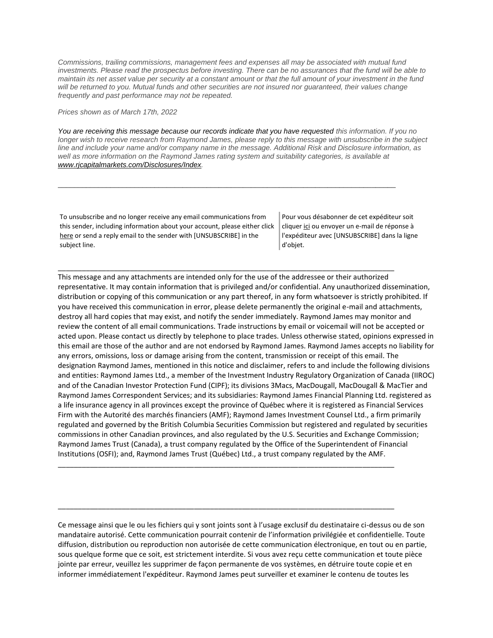*Commissions, trailing commissions, management fees and expenses all may be associated with mutual fund*  investments. Please read the prospectus before investing. There can be no assurances that the fund will be able to *maintain its net asset value per security at a constant amount or that the full amount of your investment in the fund*  will be returned to you. Mutual funds and other securities are not insured nor guaranteed, their values change *frequently and past performance may not be repeated.*

*Prices shown as of March 17th, 2022*

*You are receiving this message because our records indicate that you have requested this information. If you no longer wish to receive research from Raymond James, please reply to this message with unsubscribe in the subject line and include your name and/or company name in the message. Additional Risk and Disclosure information, as well as more information on the Raymond James rating system and suitability categories, is available at [www.rjcapitalmarkets.com/Disclosures/Index.](https://na01.safelinks.protection.outlook.com/?url=https%3A%2F%2Furldefense.proofpoint.com%2Fv2%2Furl%3Fu%3Dhttps-3A__na01.safelinks.protection.outlook.com_-3Furl-3Dhttps-253A-252F-252Furldefense.proofpoint.com-252Fv2-252Furl-253Fu-253Dhttps-2D3A-5F-5Fnam11.safelinks.protection.outlook.com-5F-2D3Furl-2D3Dhttps-2D253A-2D252F-2D252Fowa-2D2Dkel.raymondjames.ca-2D252Fowa-2D252Fredir.aspx-2D253FSURL-2D253DxhOB4gpVfLOskwdkUL9L2f18Fq4IG2rgvMfuIIX7BlwZiacj7DPTCGgAdAB0AHAAOgAvAC8AdwB3AHcALgByAGoAYwBhAHAAaQB0AGEAbABtAGEAcgBrAGUAdABzAC4AYwBvAG0ALwBEAGkAcwBjAGwAbwBzAHUAcgBlAHMALwBJAG4AZABlAHgA-2D2526URL-2D253Dhttp-2D25253a-2D25252f-2D25252fwww.rjcapitalmarkets.com-2D25252fDisclosures-2D25252fIndex-2D26data-2D3D02-2D257C01-2D257C-2D257Cc172461ecbee4482512908d85e8192cf-2D257C84df9e7fe9f640afb435aaaaaaaaaaaa-2D257C1-2D257C0-2D257C637363258183655664-2D26sdata-2D3DoIGN-2D252B1v-2D252BJNQ-2D252BZPo1ywEHtDOfbELe3OmLG-2D252FFg-2D252FM3Utoc-2D253D-2D26reserved-2D3D0-2526d-253DDwMF-2Dg-2526c-253DK3dQCUGiI1B95NJ6cl3GoyhMW2dvBOfimZA-2D83UXll0-2526r-253D-5F6MBBSGYsFznIBwslhTiqBKEz4pHUCTd-5F9tbh-5FEpUMY-2526m-253D7qOaEnVxLdGuCP74qXGTNk9xkBSFm8R3CYYmRfTv9PQ-2526s-253DDBdK-5FpzBuQHicYmhkDa-2D8JlRVcVl-2Doi24aL-5FwseaH40-2526e-253D-26data-3D04-257C01-257C-257Cd7befaa6204e4970b3c708d940d9c59b-257C84df9e7fe9f640afb435aaaaaaaaaaaa-257C1-257C0-257C637612126570807637-257CUnknown-257CTWFpbGZsb3d8eyJWIjoiMC4wLjAwMDAiLCJQIjoiV2luMzIiLCJBTiI6Ik1haWwiLCJXVCI6Mn0-253D-257C1000-26sdata-3D42WFytg2nJigwFv25rXxW91ml6-252BCn4KvME5M-252BcAoInY-253D-26reserved-3D0%26d%3DDwMGaQ%26c%3D6lBq1l7u-nYp55J7Pl8O6Ib5YT4g76ov0zCpXQrgS5M%26r%3DTmDOHaoWW3RetfvnGoPae_UczKZXXQgvJPe_P66GVYI%26m%3DHg8p8oxWBi-8j3HS2BzGxBvIXidcreERuI3mj9N1_KY%26s%3DyWJS6c4Wff_BUzjMT1YI3oJyIFTiCn7WNVr3YMhaYIk%26e%3D&data=04%7C01%7C%7C96eb5c23f77d45400b0d08d9c04986b6%7C84df9e7fe9f640afb435aaaaaaaaaaaa%7C1%7C0%7C637752244322551095%7CUnknown%7CTWFpbGZsb3d8eyJWIjoiMC4wLjAwMDAiLCJQIjoiV2luMzIiLCJBTiI6Ik1haWwiLCJXVCI6Mn0%3D%7C3000&sdata=R1xNHlifVL9q98WWY4zcCppeqV3XYKc1KhVRqUvJCXo%3D&reserved=0)*

\_\_\_\_\_\_\_\_\_\_\_\_\_\_\_\_\_\_\_\_\_\_\_\_\_\_\_\_\_\_\_\_\_\_\_\_\_\_\_\_\_\_\_\_\_\_\_\_\_\_\_\_\_\_\_\_\_\_\_\_\_\_\_\_\_\_\_\_\_\_\_\_\_\_\_\_\_\_\_\_\_\_\_\_

\_\_\_\_\_\_\_\_\_\_\_\_\_\_\_\_\_\_\_\_\_\_\_\_\_\_\_\_\_\_\_\_\_\_\_\_\_\_\_\_\_\_\_\_\_\_\_\_\_\_\_\_\_\_\_\_\_\_\_\_\_\_\_\_\_\_\_\_\_\_\_\_\_\_\_\_\_\_\_\_\_\_\_\_

To unsubscribe and no longer receive any email communications from this sender, including information about your account, please either click [here](mailto:paul.siluch@raymondjames.ca?subject=[UNSUBSCRIBE]&body=I%20wish%20to%20unsubscribe%20from%20all%20commercial%20electronic%20messages%20from%20this%20sender.%20%20There%20may%20be%20other%20employees%20or%20agents%20within%20Raymond%20James%20which%20communicate%20with%20me%20electronically%20and%20I%20understand%20that%20I%20may%20unsubscribe%20from%20these%20senders%20separately.) or send a reply email to the sender with [UNSUBSCRIBE] in the subject line.

Pour vous désabonner de cet expéditeur soit clique[r ici](mailto:paul.siluch@raymondjames.ca?subject=[UNSUBSCRIBE]&body=Je%20souhaite%20me%20désinscrire%20de%20tous%20les%20messages%20électroniques%20commerciaux.%20Il%20peut%20y%20avoir%20d) ou envoyer un e-mail de réponse à l'expéditeur avec [UNSUBSCRIBE] dans la ligne d'objet.

This message and any attachments are intended only for the use of the addressee or their authorized representative. It may contain information that is privileged and/or confidential. Any unauthorized dissemination, distribution or copying of this communication or any part thereof, in any form whatsoever is strictly prohibited. If you have received this communication in error, please delete permanently the original e-mail and attachments, destroy all hard copies that may exist, and notify the sender immediately. Raymond James may monitor and review the content of all email communications. Trade instructions by email or voicemail will not be accepted or acted upon. Please contact us directly by telephone to place trades. Unless otherwise stated, opinions expressed in this email are those of the author and are not endorsed by Raymond James. Raymond James accepts no liability for any errors, omissions, loss or damage arising from the content, transmission or receipt of this email. The designation Raymond James, mentioned in this notice and disclaimer, refers to and include the following divisions and entities: Raymond James Ltd., a member of the Investment Industry Regulatory Organization of Canada (IIROC) and of the Canadian Investor Protection Fund (CIPF); its divisions 3Macs, MacDougall, MacDougall & MacTier and Raymond James Correspondent Services; and its subsidiaries: Raymond James Financial Planning Ltd. registered as a life insurance agency in all provinces except the province of Québec where it is registered as Financial Services Firm with the Autorité des marchés financiers (AMF); Raymond James Investment Counsel Ltd., a firm primarily regulated and governed by the British Columbia Securities Commission but registered and regulated by securities commissions in other Canadian provinces, and also regulated by the U.S. Securities and Exchange Commission; Raymond James Trust (Canada), a trust company regulated by the Office of the Superintendent of Financial Institutions (OSFI); and, Raymond James Trust (Québec) Ltd., a trust company regulated by the AMF.

Ce message ainsi que le ou les fichiers qui y sont joints sont à l'usage exclusif du destinataire ci-dessus ou de son mandataire autorisé. Cette communication pourrait contenir de l'information privilégiée et confidentielle. Toute diffusion, distribution ou reproduction non autorisée de cette communication électronique, en tout ou en partie, sous quelque forme que ce soit, est strictement interdite. Si vous avez reçu cette communication et toute pièce jointe par erreur, veuillez les supprimer de façon permanente de vos systèmes, en détruire toute copie et en informer immédiatement l'expéditeur. Raymond James peut surveiller et examiner le contenu de toutes les

\_\_\_\_\_\_\_\_\_\_\_\_\_\_\_\_\_\_\_\_\_\_\_\_\_\_\_\_\_\_\_\_\_\_\_\_\_\_\_\_\_\_\_\_\_\_\_\_\_\_\_\_\_\_\_\_\_\_\_\_\_\_\_\_\_\_\_\_\_\_\_\_\_\_\_\_\_\_\_\_\_\_\_\_

\_\_\_\_\_\_\_\_\_\_\_\_\_\_\_\_\_\_\_\_\_\_\_\_\_\_\_\_\_\_\_\_\_\_\_\_\_\_\_\_\_\_\_\_\_\_\_\_\_\_\_\_\_\_\_\_\_\_\_\_\_\_\_\_\_\_\_\_\_\_\_\_\_\_\_\_\_\_\_\_\_\_\_\_